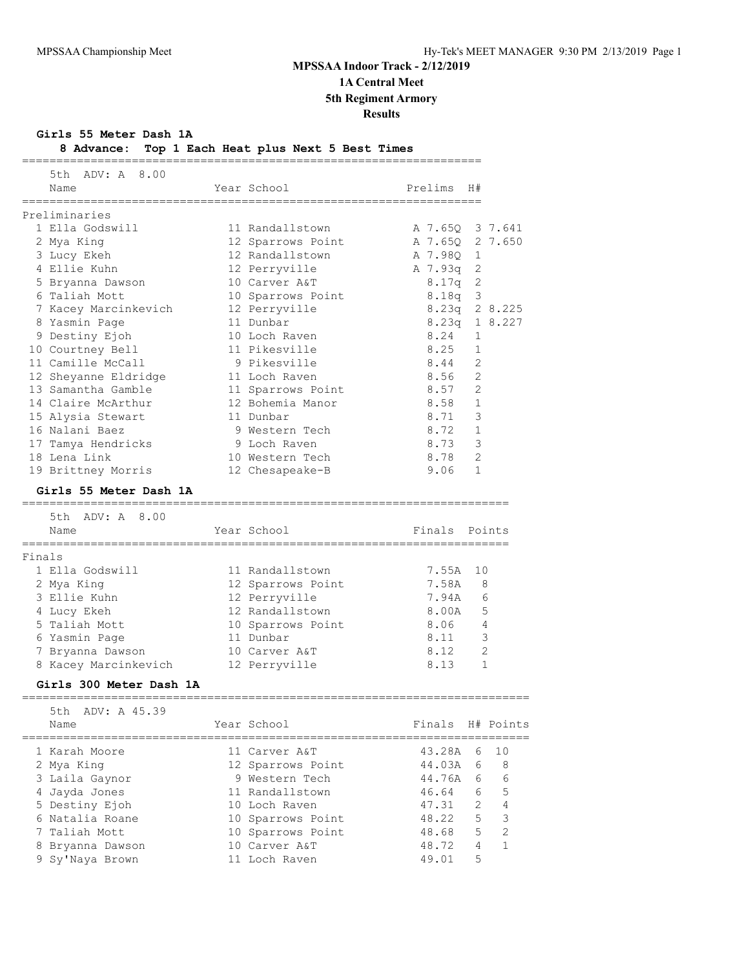**Girls 55 Meter Dash 1A**

| 8 Advance: Top 1 Each Heat plus Next 5 Best Times |  |  |  |  |  |  |  |  |  |
|---------------------------------------------------|--|--|--|--|--|--|--|--|--|
|---------------------------------------------------|--|--|--|--|--|--|--|--|--|

| 5th ADV: A 8.00<br>Year School<br>Prelims<br>Name<br>H#<br>;==================<br>Preliminaries<br>1 Ella Godswill<br>A 7.65Q 3 7.641<br>11 Randallstown<br>A 7.650 2 7.650<br>2 Mya King<br>12 Sparrows Point<br>3 Lucy Ekeh<br>12 Randallstown<br>A 7.98Q<br>1<br>4 Ellie Kuhn<br>12 Perryville<br>A 7.93q 2<br>2<br>5 Bryanna Dawson<br>10 Carver A&T<br>8.17q<br>8.18q 3<br>6 Taliah Mott<br>10 Sparrows Point<br>8.23q 2 8.225<br>7 Kacey Marcinkevich<br>12 Perryville<br>8.23q 1 8.227<br>11 Dunbar<br>8 Yasmin Page<br>9 Destiny Ejoh<br>10 Loch Raven<br>8.24<br>1<br>8.25<br>10 Courtney Bell<br>11 Pikesville<br>1<br>$\overline{2}$<br>11 Camille McCall<br>9 Pikesville<br>8.44<br>8.56<br>2<br>12 Sheyanne Eldridge<br>11 Loch Raven<br>2<br>13 Samantha Gamble<br>8.57<br>11 Sparrows Point<br>$\mathbf{1}$<br>14 Claire McArthur<br>12 Bohemia Manor<br>8.58<br>3<br>8.71<br>15 Alysia Stewart<br>11 Dunbar<br>16 Nalani Baez<br>8.72<br>1<br>9 Western Tech<br>8.73<br>3<br>9 Loch Raven<br>17 Tamya Hendricks<br>$\mathfrak{D}$<br>18 Lena Link<br>8.78<br>10 Western Tech<br>$\mathbf{1}$<br>19 Brittney Morris<br>12 Chesapeake-B<br>9.06<br>Girls 55 Meter Dash 1A<br>=====================================<br>================================<br>5th ADV: A 8.00<br>Year School<br>Finals Points<br>Name<br>=====================================<br>==============================<br>Finals<br>1 Ella Godswill<br>7.55A<br>11 Randallstown<br>10<br>2 Mya King<br>12 Sparrows Point<br>7.58A<br>8<br>3 Ellie Kuhn<br>12 Perryville<br>7.94A<br>6<br>12 Randallstown<br>8.00A<br>5<br>4 Lucy Ekeh<br>5 Taliah Mott<br>4<br>10 Sparrows Point<br>8.06<br>3<br>8.11<br>6 Yasmin Page<br>11 Dunbar<br>2<br>8.12<br>10 Carver A&T<br>7 Bryanna Dawson<br>1<br>8 Kacey Marcinkevich<br>12 Perryville<br>8.13<br>Girls 300 Meter Dash 1A<br>5th<br>ADV: A 45.39<br>Finals<br>Year School<br>H# Points<br>Name<br>1 Karah Moore<br>43.28A<br>10<br>6<br>11 Carver A&T<br>44.03A<br>8<br>2 Mya King<br>12 Sparrows Point<br>6<br>9 Western Tech<br>44.76A<br>6<br>3 Laila Gaynor<br>6<br>11 Randallstown<br>5<br>4 Jayda Jones<br>46.64<br>6<br>5 Destiny Ejoh<br>47.31<br>2<br>4<br>10 Loch Raven<br>5<br>3<br>6 Natalia Roane<br>48.22<br>10 Sparrows Point<br>$\overline{2}$<br>5<br>Taliah Mott<br>10 Sparrows Point<br>48.68<br>10 Carver A&T<br>48.72<br>4<br>1<br>8 Bryanna Dawson<br>5<br>49.01<br>9 Sy'Naya Brown<br>11 Loch Raven | 8 Advance:<br>============ | Top I Each Heat plus Next 5 Best Times |  |  |
|-------------------------------------------------------------------------------------------------------------------------------------------------------------------------------------------------------------------------------------------------------------------------------------------------------------------------------------------------------------------------------------------------------------------------------------------------------------------------------------------------------------------------------------------------------------------------------------------------------------------------------------------------------------------------------------------------------------------------------------------------------------------------------------------------------------------------------------------------------------------------------------------------------------------------------------------------------------------------------------------------------------------------------------------------------------------------------------------------------------------------------------------------------------------------------------------------------------------------------------------------------------------------------------------------------------------------------------------------------------------------------------------------------------------------------------------------------------------------------------------------------------------------------------------------------------------------------------------------------------------------------------------------------------------------------------------------------------------------------------------------------------------------------------------------------------------------------------------------------------------------------------------------------------------------------------------------------------------------------------------------------------------------------------------------------------------------------------------------------------------------------------------------------------------------------------------------------------------------------------------------------------------------------------------------------------------------------------------------------------------------------------------------------------------------------------------------------------|----------------------------|----------------------------------------|--|--|
|                                                                                                                                                                                                                                                                                                                                                                                                                                                                                                                                                                                                                                                                                                                                                                                                                                                                                                                                                                                                                                                                                                                                                                                                                                                                                                                                                                                                                                                                                                                                                                                                                                                                                                                                                                                                                                                                                                                                                                                                                                                                                                                                                                                                                                                                                                                                                                                                                                                             |                            |                                        |  |  |
|                                                                                                                                                                                                                                                                                                                                                                                                                                                                                                                                                                                                                                                                                                                                                                                                                                                                                                                                                                                                                                                                                                                                                                                                                                                                                                                                                                                                                                                                                                                                                                                                                                                                                                                                                                                                                                                                                                                                                                                                                                                                                                                                                                                                                                                                                                                                                                                                                                                             |                            |                                        |  |  |
|                                                                                                                                                                                                                                                                                                                                                                                                                                                                                                                                                                                                                                                                                                                                                                                                                                                                                                                                                                                                                                                                                                                                                                                                                                                                                                                                                                                                                                                                                                                                                                                                                                                                                                                                                                                                                                                                                                                                                                                                                                                                                                                                                                                                                                                                                                                                                                                                                                                             |                            |                                        |  |  |
|                                                                                                                                                                                                                                                                                                                                                                                                                                                                                                                                                                                                                                                                                                                                                                                                                                                                                                                                                                                                                                                                                                                                                                                                                                                                                                                                                                                                                                                                                                                                                                                                                                                                                                                                                                                                                                                                                                                                                                                                                                                                                                                                                                                                                                                                                                                                                                                                                                                             |                            |                                        |  |  |
|                                                                                                                                                                                                                                                                                                                                                                                                                                                                                                                                                                                                                                                                                                                                                                                                                                                                                                                                                                                                                                                                                                                                                                                                                                                                                                                                                                                                                                                                                                                                                                                                                                                                                                                                                                                                                                                                                                                                                                                                                                                                                                                                                                                                                                                                                                                                                                                                                                                             |                            |                                        |  |  |
|                                                                                                                                                                                                                                                                                                                                                                                                                                                                                                                                                                                                                                                                                                                                                                                                                                                                                                                                                                                                                                                                                                                                                                                                                                                                                                                                                                                                                                                                                                                                                                                                                                                                                                                                                                                                                                                                                                                                                                                                                                                                                                                                                                                                                                                                                                                                                                                                                                                             |                            |                                        |  |  |
|                                                                                                                                                                                                                                                                                                                                                                                                                                                                                                                                                                                                                                                                                                                                                                                                                                                                                                                                                                                                                                                                                                                                                                                                                                                                                                                                                                                                                                                                                                                                                                                                                                                                                                                                                                                                                                                                                                                                                                                                                                                                                                                                                                                                                                                                                                                                                                                                                                                             |                            |                                        |  |  |
|                                                                                                                                                                                                                                                                                                                                                                                                                                                                                                                                                                                                                                                                                                                                                                                                                                                                                                                                                                                                                                                                                                                                                                                                                                                                                                                                                                                                                                                                                                                                                                                                                                                                                                                                                                                                                                                                                                                                                                                                                                                                                                                                                                                                                                                                                                                                                                                                                                                             |                            |                                        |  |  |
|                                                                                                                                                                                                                                                                                                                                                                                                                                                                                                                                                                                                                                                                                                                                                                                                                                                                                                                                                                                                                                                                                                                                                                                                                                                                                                                                                                                                                                                                                                                                                                                                                                                                                                                                                                                                                                                                                                                                                                                                                                                                                                                                                                                                                                                                                                                                                                                                                                                             |                            |                                        |  |  |
|                                                                                                                                                                                                                                                                                                                                                                                                                                                                                                                                                                                                                                                                                                                                                                                                                                                                                                                                                                                                                                                                                                                                                                                                                                                                                                                                                                                                                                                                                                                                                                                                                                                                                                                                                                                                                                                                                                                                                                                                                                                                                                                                                                                                                                                                                                                                                                                                                                                             |                            |                                        |  |  |
|                                                                                                                                                                                                                                                                                                                                                                                                                                                                                                                                                                                                                                                                                                                                                                                                                                                                                                                                                                                                                                                                                                                                                                                                                                                                                                                                                                                                                                                                                                                                                                                                                                                                                                                                                                                                                                                                                                                                                                                                                                                                                                                                                                                                                                                                                                                                                                                                                                                             |                            |                                        |  |  |
|                                                                                                                                                                                                                                                                                                                                                                                                                                                                                                                                                                                                                                                                                                                                                                                                                                                                                                                                                                                                                                                                                                                                                                                                                                                                                                                                                                                                                                                                                                                                                                                                                                                                                                                                                                                                                                                                                                                                                                                                                                                                                                                                                                                                                                                                                                                                                                                                                                                             |                            |                                        |  |  |
|                                                                                                                                                                                                                                                                                                                                                                                                                                                                                                                                                                                                                                                                                                                                                                                                                                                                                                                                                                                                                                                                                                                                                                                                                                                                                                                                                                                                                                                                                                                                                                                                                                                                                                                                                                                                                                                                                                                                                                                                                                                                                                                                                                                                                                                                                                                                                                                                                                                             |                            |                                        |  |  |
|                                                                                                                                                                                                                                                                                                                                                                                                                                                                                                                                                                                                                                                                                                                                                                                                                                                                                                                                                                                                                                                                                                                                                                                                                                                                                                                                                                                                                                                                                                                                                                                                                                                                                                                                                                                                                                                                                                                                                                                                                                                                                                                                                                                                                                                                                                                                                                                                                                                             |                            |                                        |  |  |
|                                                                                                                                                                                                                                                                                                                                                                                                                                                                                                                                                                                                                                                                                                                                                                                                                                                                                                                                                                                                                                                                                                                                                                                                                                                                                                                                                                                                                                                                                                                                                                                                                                                                                                                                                                                                                                                                                                                                                                                                                                                                                                                                                                                                                                                                                                                                                                                                                                                             |                            |                                        |  |  |
|                                                                                                                                                                                                                                                                                                                                                                                                                                                                                                                                                                                                                                                                                                                                                                                                                                                                                                                                                                                                                                                                                                                                                                                                                                                                                                                                                                                                                                                                                                                                                                                                                                                                                                                                                                                                                                                                                                                                                                                                                                                                                                                                                                                                                                                                                                                                                                                                                                                             |                            |                                        |  |  |
|                                                                                                                                                                                                                                                                                                                                                                                                                                                                                                                                                                                                                                                                                                                                                                                                                                                                                                                                                                                                                                                                                                                                                                                                                                                                                                                                                                                                                                                                                                                                                                                                                                                                                                                                                                                                                                                                                                                                                                                                                                                                                                                                                                                                                                                                                                                                                                                                                                                             |                            |                                        |  |  |
|                                                                                                                                                                                                                                                                                                                                                                                                                                                                                                                                                                                                                                                                                                                                                                                                                                                                                                                                                                                                                                                                                                                                                                                                                                                                                                                                                                                                                                                                                                                                                                                                                                                                                                                                                                                                                                                                                                                                                                                                                                                                                                                                                                                                                                                                                                                                                                                                                                                             |                            |                                        |  |  |
|                                                                                                                                                                                                                                                                                                                                                                                                                                                                                                                                                                                                                                                                                                                                                                                                                                                                                                                                                                                                                                                                                                                                                                                                                                                                                                                                                                                                                                                                                                                                                                                                                                                                                                                                                                                                                                                                                                                                                                                                                                                                                                                                                                                                                                                                                                                                                                                                                                                             |                            |                                        |  |  |
|                                                                                                                                                                                                                                                                                                                                                                                                                                                                                                                                                                                                                                                                                                                                                                                                                                                                                                                                                                                                                                                                                                                                                                                                                                                                                                                                                                                                                                                                                                                                                                                                                                                                                                                                                                                                                                                                                                                                                                                                                                                                                                                                                                                                                                                                                                                                                                                                                                                             |                            |                                        |  |  |
|                                                                                                                                                                                                                                                                                                                                                                                                                                                                                                                                                                                                                                                                                                                                                                                                                                                                                                                                                                                                                                                                                                                                                                                                                                                                                                                                                                                                                                                                                                                                                                                                                                                                                                                                                                                                                                                                                                                                                                                                                                                                                                                                                                                                                                                                                                                                                                                                                                                             |                            |                                        |  |  |
|                                                                                                                                                                                                                                                                                                                                                                                                                                                                                                                                                                                                                                                                                                                                                                                                                                                                                                                                                                                                                                                                                                                                                                                                                                                                                                                                                                                                                                                                                                                                                                                                                                                                                                                                                                                                                                                                                                                                                                                                                                                                                                                                                                                                                                                                                                                                                                                                                                                             |                            |                                        |  |  |
|                                                                                                                                                                                                                                                                                                                                                                                                                                                                                                                                                                                                                                                                                                                                                                                                                                                                                                                                                                                                                                                                                                                                                                                                                                                                                                                                                                                                                                                                                                                                                                                                                                                                                                                                                                                                                                                                                                                                                                                                                                                                                                                                                                                                                                                                                                                                                                                                                                                             |                            |                                        |  |  |
|                                                                                                                                                                                                                                                                                                                                                                                                                                                                                                                                                                                                                                                                                                                                                                                                                                                                                                                                                                                                                                                                                                                                                                                                                                                                                                                                                                                                                                                                                                                                                                                                                                                                                                                                                                                                                                                                                                                                                                                                                                                                                                                                                                                                                                                                                                                                                                                                                                                             |                            |                                        |  |  |
|                                                                                                                                                                                                                                                                                                                                                                                                                                                                                                                                                                                                                                                                                                                                                                                                                                                                                                                                                                                                                                                                                                                                                                                                                                                                                                                                                                                                                                                                                                                                                                                                                                                                                                                                                                                                                                                                                                                                                                                                                                                                                                                                                                                                                                                                                                                                                                                                                                                             |                            |                                        |  |  |
|                                                                                                                                                                                                                                                                                                                                                                                                                                                                                                                                                                                                                                                                                                                                                                                                                                                                                                                                                                                                                                                                                                                                                                                                                                                                                                                                                                                                                                                                                                                                                                                                                                                                                                                                                                                                                                                                                                                                                                                                                                                                                                                                                                                                                                                                                                                                                                                                                                                             |                            |                                        |  |  |
|                                                                                                                                                                                                                                                                                                                                                                                                                                                                                                                                                                                                                                                                                                                                                                                                                                                                                                                                                                                                                                                                                                                                                                                                                                                                                                                                                                                                                                                                                                                                                                                                                                                                                                                                                                                                                                                                                                                                                                                                                                                                                                                                                                                                                                                                                                                                                                                                                                                             |                            |                                        |  |  |
|                                                                                                                                                                                                                                                                                                                                                                                                                                                                                                                                                                                                                                                                                                                                                                                                                                                                                                                                                                                                                                                                                                                                                                                                                                                                                                                                                                                                                                                                                                                                                                                                                                                                                                                                                                                                                                                                                                                                                                                                                                                                                                                                                                                                                                                                                                                                                                                                                                                             |                            |                                        |  |  |
|                                                                                                                                                                                                                                                                                                                                                                                                                                                                                                                                                                                                                                                                                                                                                                                                                                                                                                                                                                                                                                                                                                                                                                                                                                                                                                                                                                                                                                                                                                                                                                                                                                                                                                                                                                                                                                                                                                                                                                                                                                                                                                                                                                                                                                                                                                                                                                                                                                                             |                            |                                        |  |  |
|                                                                                                                                                                                                                                                                                                                                                                                                                                                                                                                                                                                                                                                                                                                                                                                                                                                                                                                                                                                                                                                                                                                                                                                                                                                                                                                                                                                                                                                                                                                                                                                                                                                                                                                                                                                                                                                                                                                                                                                                                                                                                                                                                                                                                                                                                                                                                                                                                                                             |                            |                                        |  |  |
|                                                                                                                                                                                                                                                                                                                                                                                                                                                                                                                                                                                                                                                                                                                                                                                                                                                                                                                                                                                                                                                                                                                                                                                                                                                                                                                                                                                                                                                                                                                                                                                                                                                                                                                                                                                                                                                                                                                                                                                                                                                                                                                                                                                                                                                                                                                                                                                                                                                             |                            |                                        |  |  |
|                                                                                                                                                                                                                                                                                                                                                                                                                                                                                                                                                                                                                                                                                                                                                                                                                                                                                                                                                                                                                                                                                                                                                                                                                                                                                                                                                                                                                                                                                                                                                                                                                                                                                                                                                                                                                                                                                                                                                                                                                                                                                                                                                                                                                                                                                                                                                                                                                                                             |                            |                                        |  |  |
|                                                                                                                                                                                                                                                                                                                                                                                                                                                                                                                                                                                                                                                                                                                                                                                                                                                                                                                                                                                                                                                                                                                                                                                                                                                                                                                                                                                                                                                                                                                                                                                                                                                                                                                                                                                                                                                                                                                                                                                                                                                                                                                                                                                                                                                                                                                                                                                                                                                             |                            |                                        |  |  |
|                                                                                                                                                                                                                                                                                                                                                                                                                                                                                                                                                                                                                                                                                                                                                                                                                                                                                                                                                                                                                                                                                                                                                                                                                                                                                                                                                                                                                                                                                                                                                                                                                                                                                                                                                                                                                                                                                                                                                                                                                                                                                                                                                                                                                                                                                                                                                                                                                                                             |                            |                                        |  |  |
|                                                                                                                                                                                                                                                                                                                                                                                                                                                                                                                                                                                                                                                                                                                                                                                                                                                                                                                                                                                                                                                                                                                                                                                                                                                                                                                                                                                                                                                                                                                                                                                                                                                                                                                                                                                                                                                                                                                                                                                                                                                                                                                                                                                                                                                                                                                                                                                                                                                             |                            |                                        |  |  |
|                                                                                                                                                                                                                                                                                                                                                                                                                                                                                                                                                                                                                                                                                                                                                                                                                                                                                                                                                                                                                                                                                                                                                                                                                                                                                                                                                                                                                                                                                                                                                                                                                                                                                                                                                                                                                                                                                                                                                                                                                                                                                                                                                                                                                                                                                                                                                                                                                                                             |                            |                                        |  |  |
|                                                                                                                                                                                                                                                                                                                                                                                                                                                                                                                                                                                                                                                                                                                                                                                                                                                                                                                                                                                                                                                                                                                                                                                                                                                                                                                                                                                                                                                                                                                                                                                                                                                                                                                                                                                                                                                                                                                                                                                                                                                                                                                                                                                                                                                                                                                                                                                                                                                             |                            |                                        |  |  |
|                                                                                                                                                                                                                                                                                                                                                                                                                                                                                                                                                                                                                                                                                                                                                                                                                                                                                                                                                                                                                                                                                                                                                                                                                                                                                                                                                                                                                                                                                                                                                                                                                                                                                                                                                                                                                                                                                                                                                                                                                                                                                                                                                                                                                                                                                                                                                                                                                                                             |                            |                                        |  |  |
|                                                                                                                                                                                                                                                                                                                                                                                                                                                                                                                                                                                                                                                                                                                                                                                                                                                                                                                                                                                                                                                                                                                                                                                                                                                                                                                                                                                                                                                                                                                                                                                                                                                                                                                                                                                                                                                                                                                                                                                                                                                                                                                                                                                                                                                                                                                                                                                                                                                             |                            |                                        |  |  |
|                                                                                                                                                                                                                                                                                                                                                                                                                                                                                                                                                                                                                                                                                                                                                                                                                                                                                                                                                                                                                                                                                                                                                                                                                                                                                                                                                                                                                                                                                                                                                                                                                                                                                                                                                                                                                                                                                                                                                                                                                                                                                                                                                                                                                                                                                                                                                                                                                                                             |                            |                                        |  |  |
|                                                                                                                                                                                                                                                                                                                                                                                                                                                                                                                                                                                                                                                                                                                                                                                                                                                                                                                                                                                                                                                                                                                                                                                                                                                                                                                                                                                                                                                                                                                                                                                                                                                                                                                                                                                                                                                                                                                                                                                                                                                                                                                                                                                                                                                                                                                                                                                                                                                             |                            |                                        |  |  |
|                                                                                                                                                                                                                                                                                                                                                                                                                                                                                                                                                                                                                                                                                                                                                                                                                                                                                                                                                                                                                                                                                                                                                                                                                                                                                                                                                                                                                                                                                                                                                                                                                                                                                                                                                                                                                                                                                                                                                                                                                                                                                                                                                                                                                                                                                                                                                                                                                                                             |                            |                                        |  |  |
|                                                                                                                                                                                                                                                                                                                                                                                                                                                                                                                                                                                                                                                                                                                                                                                                                                                                                                                                                                                                                                                                                                                                                                                                                                                                                                                                                                                                                                                                                                                                                                                                                                                                                                                                                                                                                                                                                                                                                                                                                                                                                                                                                                                                                                                                                                                                                                                                                                                             |                            |                                        |  |  |
|                                                                                                                                                                                                                                                                                                                                                                                                                                                                                                                                                                                                                                                                                                                                                                                                                                                                                                                                                                                                                                                                                                                                                                                                                                                                                                                                                                                                                                                                                                                                                                                                                                                                                                                                                                                                                                                                                                                                                                                                                                                                                                                                                                                                                                                                                                                                                                                                                                                             |                            |                                        |  |  |
|                                                                                                                                                                                                                                                                                                                                                                                                                                                                                                                                                                                                                                                                                                                                                                                                                                                                                                                                                                                                                                                                                                                                                                                                                                                                                                                                                                                                                                                                                                                                                                                                                                                                                                                                                                                                                                                                                                                                                                                                                                                                                                                                                                                                                                                                                                                                                                                                                                                             |                            |                                        |  |  |
|                                                                                                                                                                                                                                                                                                                                                                                                                                                                                                                                                                                                                                                                                                                                                                                                                                                                                                                                                                                                                                                                                                                                                                                                                                                                                                                                                                                                                                                                                                                                                                                                                                                                                                                                                                                                                                                                                                                                                                                                                                                                                                                                                                                                                                                                                                                                                                                                                                                             |                            |                                        |  |  |
|                                                                                                                                                                                                                                                                                                                                                                                                                                                                                                                                                                                                                                                                                                                                                                                                                                                                                                                                                                                                                                                                                                                                                                                                                                                                                                                                                                                                                                                                                                                                                                                                                                                                                                                                                                                                                                                                                                                                                                                                                                                                                                                                                                                                                                                                                                                                                                                                                                                             |                            |                                        |  |  |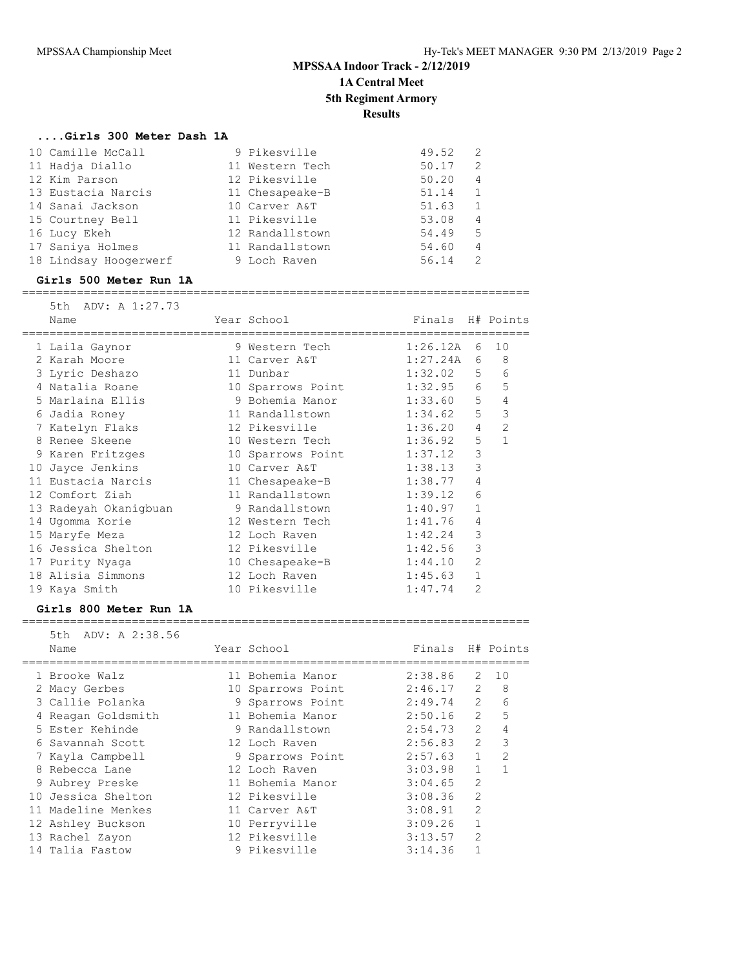### **....Girls 300 Meter Dash 1A**

| 10 Camille McCall     | 9 Pikesville    | 49.52<br>-2             |
|-----------------------|-----------------|-------------------------|
| 11 Hadja Diallo       | 11 Western Tech | 50.17<br>2              |
| 12 Kim Parson         | 12 Pikesville   | 50.20<br>$\overline{4}$ |
| 13 Eustacia Narcis    | 11 Chesapeake-B | 51.14<br>1              |
| 14 Sanai Jackson      | 10 Carver A&T   | 51.63                   |
| 15 Courtney Bell      | 11 Pikesville   | 53.08<br>$\overline{4}$ |
| 16 Lucy Ekeh          | 12 Randallstown | 54.49<br>-5             |
| 17 Saniya Holmes      | 11 Randallstown | 54.60<br>4              |
| 18 Lindsay Hoogerwerf | 9 Loch Raven    | 56.14<br>$\mathcal{L}$  |

#### **Girls 500 Meter Run 1A**

#### ==========================================================================

| 5th ADV: A 1:27.73<br>Name | Year School             | Finals H# Points |                |                |
|----------------------------|-------------------------|------------------|----------------|----------------|
| 1 Laila Gaynor             | 9 Western Tech          | 1:26.12A         | 6              | 10             |
| 2 Karah Moore              | 11 Carver A&T           | 1:27.24A         | 6              | 8              |
| 3 Lyric Deshazo            | 11 Dunbar               | 1:32.02          |                | $5 -$<br>6     |
| 4 Natalia Roane            | 10 Sparrows Point       | $1:32.95$ 6      |                | 5              |
| 5 Marlaina Ellis           | 9 Bohemia Manor         | 1:33.60          | 5 <sup>5</sup> | 4              |
| 6 Jadia Roney              | 11 Randallstown 1:34.62 |                  | 5              | 3              |
| 7 Katelyn Flaks            | 12 Pikesville           | 1:36.20          | $\overline{4}$ | $\overline{2}$ |
| 8 Renee Skeene             | 10 Western Tech         | 1:36.92          | 5              | $\mathbf{1}$   |
| 9 Karen Fritzges           | 10 Sparrows Point       | 1:37.12          | 3              |                |
| 10 Jayce Jenkins           | 10 Carver A&T           | 1:38.13          | 3              |                |
| 11 Eustacia Narcis         | 11 Chesapeake-B         | 1:38.77          | 4              |                |
| 12 Comfort Ziah            | 11 Randallstown         | 1:39.12          | 6              |                |
| 13 Radeyah Okanigbuan      | 9 Randallstown          | 1:40.97          | $\mathbf{1}$   |                |
| 14 Ugomma Korie            | 12 Western Tech         | 1:41.76          | 4              |                |
| 15 Maryfe Meza             | 12 Loch Raven           | 1:42.24          | 3              |                |
| 16 Jessica Shelton         | 12 Pikesville           | 1:42.56          | 3              |                |
| 17 Purity Nyaga            | 10 Chesapeake-B         | 1:44.10          | $\overline{2}$ |                |
| 18 Alisia Simmons          | 12 Loch Raven           | 1:45.63          | $\mathbf{1}$   |                |
| 19 Kaya Smith              | 10 Pikesville           | 1:47.74          | $\overline{2}$ |                |

#### **Girls 800 Meter Run 1A**

### ==========================================================================

| 5th ADV: A 2:38.56<br>Name |                                                                                                                                                                                                                                                                                 |                                                                                                                                                                                                                                                                              |                |                                                                                                                  |
|----------------------------|---------------------------------------------------------------------------------------------------------------------------------------------------------------------------------------------------------------------------------------------------------------------------------|------------------------------------------------------------------------------------------------------------------------------------------------------------------------------------------------------------------------------------------------------------------------------|----------------|------------------------------------------------------------------------------------------------------------------|
|                            |                                                                                                                                                                                                                                                                                 |                                                                                                                                                                                                                                                                              | 2              | 10                                                                                                               |
|                            |                                                                                                                                                                                                                                                                                 |                                                                                                                                                                                                                                                                              |                | 8                                                                                                                |
|                            |                                                                                                                                                                                                                                                                                 |                                                                                                                                                                                                                                                                              |                | 6                                                                                                                |
|                            |                                                                                                                                                                                                                                                                                 |                                                                                                                                                                                                                                                                              | $\overline{2}$ | 5                                                                                                                |
|                            |                                                                                                                                                                                                                                                                                 |                                                                                                                                                                                                                                                                              | $\mathcal{L}$  | 4                                                                                                                |
|                            |                                                                                                                                                                                                                                                                                 |                                                                                                                                                                                                                                                                              | $\mathcal{L}$  | 3                                                                                                                |
|                            |                                                                                                                                                                                                                                                                                 |                                                                                                                                                                                                                                                                              | $\mathbf{1}$   | $\overline{2}$                                                                                                   |
|                            |                                                                                                                                                                                                                                                                                 |                                                                                                                                                                                                                                                                              | $\mathbf{1}$   | 1                                                                                                                |
|                            |                                                                                                                                                                                                                                                                                 | 3:04.65                                                                                                                                                                                                                                                                      | $\overline{2}$ |                                                                                                                  |
|                            |                                                                                                                                                                                                                                                                                 | 3:08.36                                                                                                                                                                                                                                                                      | $\mathfrak{D}$ |                                                                                                                  |
|                            |                                                                                                                                                                                                                                                                                 | 3:08.91                                                                                                                                                                                                                                                                      | $\overline{2}$ |                                                                                                                  |
|                            |                                                                                                                                                                                                                                                                                 | 3:09.26                                                                                                                                                                                                                                                                      | $\mathbf{1}$   |                                                                                                                  |
|                            |                                                                                                                                                                                                                                                                                 | 3:13.57                                                                                                                                                                                                                                                                      | $\mathfrak{D}$ |                                                                                                                  |
|                            |                                                                                                                                                                                                                                                                                 | 3:14.36                                                                                                                                                                                                                                                                      |                |                                                                                                                  |
|                            | 1 Brooke Walz<br>2 Macy Gerbes<br>3 Callie Polanka<br>4 Reagan Goldsmith<br>5 Ester Kehinde<br>6 Savannah Scott<br>7 Kayla Campbell<br>8 Rebecca Lane<br>9 Aubrey Preske<br>10 Jessica Shelton<br>11 Madeline Menkes<br>12 Ashley Buckson<br>13 Rachel Zayon<br>14 Talia Fastow | Year School<br>11 Bohemia Manor<br>10 Sparrows Point<br>9 Sparrows Point<br>11 Bohemia Manor<br>9 Randallstown<br>12 Loch Raven<br>9 Sparrows Point<br>12 Loch Raven<br>11 Bohemia Manor<br>12 Pikesville<br>11 Carver A&T<br>10 Perryville<br>12 Pikesville<br>9 Pikesville |                | Finals H# Points<br>2:38.86<br>$2:46.17$ 2<br>$2:49.74$ 2<br>2:50.16<br>2:54.73<br>2:56.83<br>2:57.63<br>3:03.98 |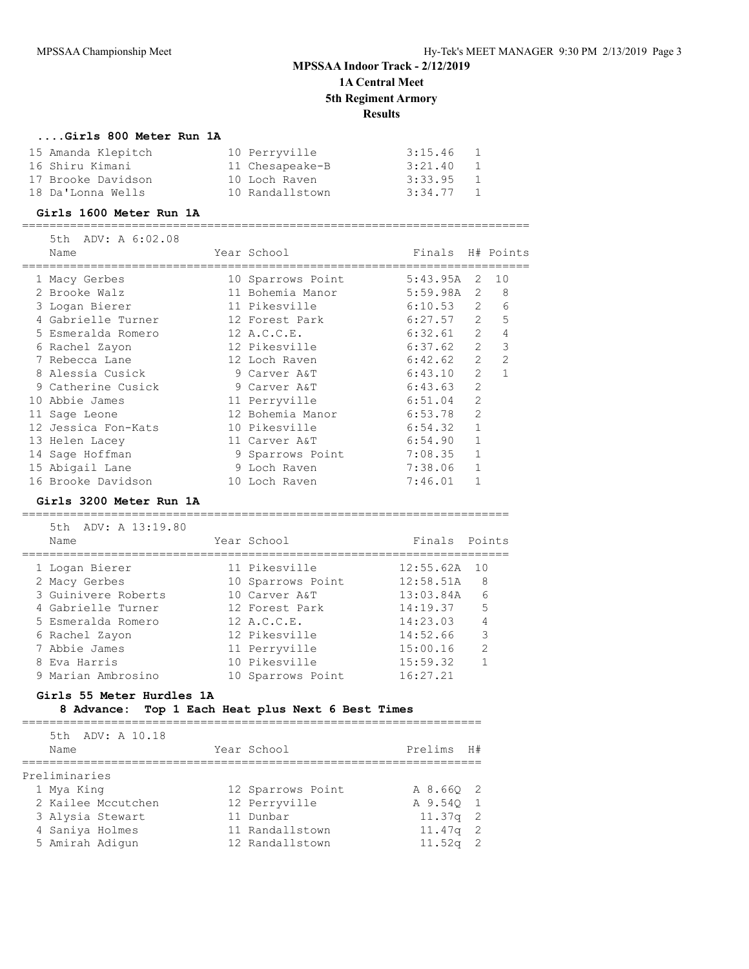### **....Girls 800 Meter Run 1A**

| 15 Amanda Klepitch | 10 Perryville   | 3:15.46     |              |
|--------------------|-----------------|-------------|--------------|
| 16 Shiru Kimani    | 11 Chesapeake-B | 3:21.40     | $\mathbf{1}$ |
| 17 Brooke Davidson | 10 Loch Raven   | 3:33.95     | -1           |
| 18 Da'Lonna Wells  | 10 Randallstown | $3:34.77$ 1 |              |

#### **Girls 1600 Meter Run 1A**

==========================================================================

| 5th ADV: A 6:02.08  |                   |              |                |               |
|---------------------|-------------------|--------------|----------------|---------------|
| Name                | Year School       | Finals       |                | H# Points     |
| 1 Macy Gerbes       | 10 Sparrows Point | 5:43.95A     | 2              | 10            |
| 2 Brooke Walz       | 11 Bohemia Manor  | $5:59.98A$ 2 |                | 8             |
| 3 Logan Bierer      | 11 Pikesville     | 6:10.53      | 2              | 6             |
| 4 Gabrielle Turner  | 12 Forest Park    | 6:27.57      | 2              | 5             |
| 5 Esmeralda Romero  | 12 A.C.C.E.       | 6:32.61      | 2              | 4             |
| 6 Rachel Zayon      | 12 Pikesville     | 6:37.62      | $\overline{2}$ | 3             |
| 7 Rebecca Lane      | 12 Loch Raven     | 6:42.62      | $\mathcal{L}$  | $\mathcal{L}$ |
| 8 Alessia Cusick    | 9 Carver A&T      | 6:43.10      | $\mathcal{L}$  | 1             |
| 9 Catherine Cusick  | 9 Carver A&T      | 6:43.63      | $\overline{2}$ |               |
| 10 Abbie James      | 11 Perryville     | 6:51.04      | $\overline{2}$ |               |
| 11 Sage Leone       | 12 Bohemia Manor  | 6:53.78      | $\mathfrak{D}$ |               |
| 12 Jessica Fon-Kats | 10 Pikesville     | 6:54.32      |                |               |
| 13 Helen Lacey      | 11 Carver A&T     | 6:54.90      |                |               |
| 14 Sage Hoffman     | 9 Sparrows Point  | 7:08.35      |                |               |
| 15 Abigail Lane     | 9 Loch Raven      | 7:38.06      |                |               |
| 16 Brooke Davidson  | 10 Loch Raven     | 7:46.01      |                |               |

#### **Girls 3200 Meter Run 1A**

=======================================================================

| 5th ADV: A 13:19.80<br>Name | Year School       | Finals Points |               |
|-----------------------------|-------------------|---------------|---------------|
| 1 Logan Bierer              | 11 Pikesville     | 12:55.62A     | 10            |
| 2 Macy Gerbes               | 10 Sparrows Point | 12:58.51A     | 8             |
| 3 Guinivere Roberts         | 10 Carver A&T     | 13:03.84A     | 6             |
| 4 Gabrielle Turner          | 12 Forest Park    | 14:19.37      | 5             |
| 5 Esmeralda Romero          | 12 A.C.C.E.       | 14:23.03      |               |
| 6 Rachel Zayon              | 12 Pikesville     | 14:52.66      | 3             |
| 7 Abbie James               | 11 Perryville     | 15:00.16      | $\mathcal{L}$ |
| 8 Eva Harris                | 10 Pikesville     | 15:59.32      |               |
| 9 Marian Ambrosino          | 10 Sparrows Point | 16:27.21      |               |

### **Girls 55 Meter Hurdles 1A**

## **8 Advance: Top 1 Each Heat plus Next 6 Best Times**

===================================================================

| 5th ADV: A 10.18   |                   |            |    |
|--------------------|-------------------|------------|----|
| Name               | Year School       | Prelims    | H# |
|                    |                   |            |    |
| Preliminaries      |                   |            |    |
| 1 Mya King         | 12 Sparrows Point | A 8.66Q 2  |    |
| 2 Kailee Mccutchen | 12 Perryville     | A 9.540 1  |    |
| 3 Alysia Stewart   | 11 Dunbar         | $11.37q$ 2 |    |
| 4 Saniya Holmes    | 11 Randallstown   | $11.47q$ 2 |    |
| 5 Amirah Adigun    | 12 Randallstown   | $11.52q$ 2 |    |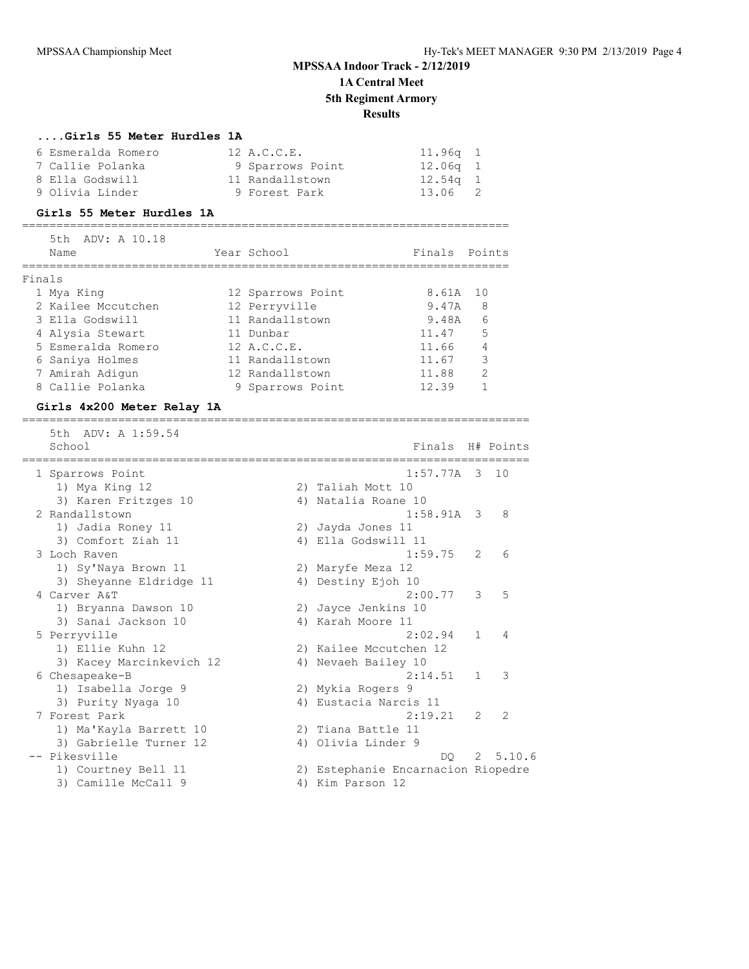#### **....Girls 55 Meter Hurdles 1A**

| 6 Esmeralda Romero | 12 A.C.C.E.      | 11 <b>.</b> 96a 1 |  |
|--------------------|------------------|-------------------|--|
| 7 Callie Polanka   | 9 Sparrows Point | 12.06a 1          |  |
| 8 Ella Godswill    | 11 Randallstown  | 12 <b>.</b> 54a 1 |  |
| 9 Olivia Linder    | 9 Forest Park    | 13.06 2           |  |

#### **Girls 55 Meter Hurdles 1A**

=======================================================================

|        | 5th ADV: A 10.18<br>Name | Year School       | Finals Points |               |
|--------|--------------------------|-------------------|---------------|---------------|
| Finals |                          |                   |               |               |
|        | 1 Mya King               | 12 Sparrows Point | 8.61A         | 10            |
|        | 2 Kailee Mccutchen       | 12 Perryville     | 9.47A         | 8             |
|        | 3 Ella Godswill          | 11 Randallstown   | 9.48A         | 6             |
|        | 4 Alysia Stewart         | 11 Dunbar         | 11.47         | 5             |
|        | 5 Esmeralda Romero       | 12 A.C.C.E.       | 11.66         | 4             |
|        | 6 Saniya Holmes          | 11 Randallstown   | 11.67         | 3             |
|        | 7 Amirah Adigun          | 12 Randallstown   | 11.88         | $\mathcal{D}$ |
|        | 8 Callie Polanka         | 9 Sparrows Point  | 12.39         |               |

### **Girls 4x200 Meter Relay 1A**

========================================================================== 5th ADV: A 1:59.54<br>School Finals H# Points ========================================================================== 1 Sparrows Point 1:57.77A 3 10 1) Mya King 12 2) Taliah Mott 10 3) Karen Fritzges 10 <br />
4) Natalia Roane 10 2 Randallstown 1:58.91A 3 8 1) Jadia Roney 11 2) Jayda Jones 11 3) Comfort Ziah 11 4) Ella Godswill 11 3 Loch Raven 1:59.75 2 6 1) Sy'Naya Brown 11 2) Maryfe Meza 12 3) Sheyanne Eldridge 11 <a>> 4) Destiny Ejoh 10 4 Carver A&T 2:00.77 3 5 1) Bryanna Dawson 10 2) Jayce Jenkins 10 3) Sanai Jackson 10  $\hspace{1cm}$  4) Karah Moore 11 5 Perryville 2:02.94 1 4 1) Ellie Kuhn 12 2) Kailee Mccutchen 12 3) Kacey Marcinkevich 12 4) Nevaeh Bailey 10 6 Chesapeake-B 2:14.51 1 3 1) Isabella Jorge 9 2) Mykia Rogers 9 3) Purity Nyaga 10 4) Eustacia Narcis 11 7 Forest Park 2:19.21 2 2 1) Ma'Kayla Barrett 10 2) Tiana Battle 11 3) Gabrielle Turner 12 (4) Olivia Linder 9 -- Pikesville DQ 2 5.10.6 1) Courtney Bell 11 2) Estephanie Encarnacion Riopedre 3) Camille McCall 9 4) Kim Parson 12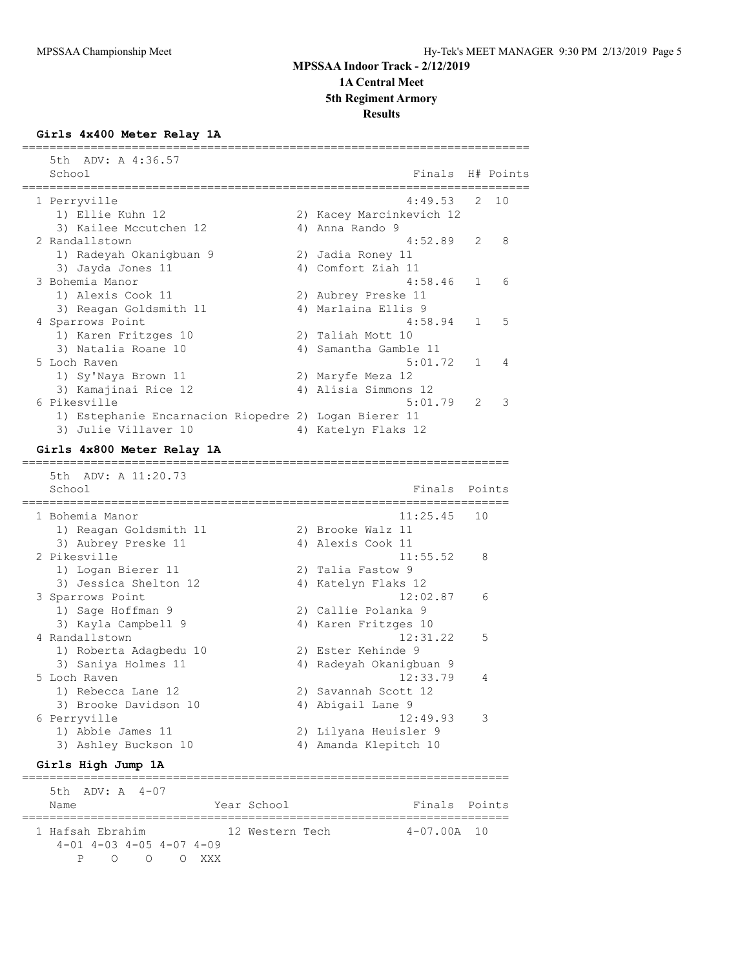#### **Results**

#### **Girls 4x400 Meter Relay 1A**

| 5th ADV: A 4:36.57<br>School                          |    | Finals H# Points         |   |                |
|-------------------------------------------------------|----|--------------------------|---|----------------|
| 1 Perryville                                          |    | $4:49.53$ 2 10           |   |                |
| 1) Ellie Kuhn 12                                      |    | 2) Kacey Marcinkevich 12 |   |                |
| 3) Kailee Mccutchen 12                                |    | 4) Anna Rando 9          |   |                |
| 2 Randallstown                                        |    | $4:52.89$ 2              |   | - 8            |
| 1) Radeyah Okaniqbuan 9                               |    | 2) Jadia Roney 11        |   |                |
| 3) Jayda Jones 11                                     |    | 4) Comfort Ziah 11       |   |                |
| 3 Bohemia Manor                                       |    | $4:58.46$ 1              |   | 6              |
| 1) Alexis Cook 11                                     |    | 2) Aubrey Preske 11      |   |                |
| 3) Reagan Goldsmith 11                                |    | 4) Marlaina Ellis 9      |   |                |
| 4 Sparrows Point                                      |    | $4:58.94$ 1              |   | $-5$           |
| 1) Karen Fritzges 10                                  |    | 2) Taliah Mott 10        |   |                |
| 3) Natalia Roane 10                                   |    | 4) Samantha Gamble 11    |   |                |
| 5 Loch Raven                                          |    | 5:01.72 1                |   | $\overline{4}$ |
| 1) Sy'Naya Brown 11                                   |    | 2) Maryfe Meza 12        |   |                |
| 3) Kamajinai Rice 12                                  | 4) | Alisia Simmons 12        |   |                |
| 6 Pikesville                                          |    | 5:01.79                  | 2 | 3              |
| 1) Estephanie Encarnacion Riopedre 2) Logan Bierer 11 |    |                          |   |                |
| 3) Julie Villaver 10                                  |    | 4) Katelyn Flaks 12      |   |                |

==========================================================================

### **Girls 4x800 Meter Relay 1A**

 5th ADV: A 11:20.73 School Finals Points Points and Points Points Points Points Points Points Points Points Points Points Points Points Points Points Points Points Points Points Points Points Points Points Points Points Points Points Points P ======================================================================= 1 Bohemia Manor 1) Reagan Goldsmith 11 2) Brooke Walz 11 3) Aubrey Preske 11 4) Alexis Cook 11 2 Pikesville 11:55.52 8 1) Logan Bierer 11 2) Talia Fastow 9 3) Jessica Shelton 12  $\hskip1cm$  4) Katelyn Flaks 12 3 Sparrows Point 12:02.87 6 1) Sage Hoffman 9 2) Callie Polanka 9 3) Kayla Campbell 9 1988 4) Karen Fritzges 10 4 Randallstown 12:31.22 5 1) Roberta Adagbedu 10 2) Ester Kehinde 9 3) Saniya Holmes 11 4) Radeyah Okanigbuan 9 5 Loch Raven 12:33.79 4 1) Rebecca Lane 12 2) Savannah Scott 12 3) Brooke Davidson 10  $\hskip1cm$  4) Abigail Lane 9 6 Perryville 12:49.93 3 1) Abbie James 11 2) Lilyana Heuisler 9 3) Ashley Buckson 10 4) Amanda Klepitch 10

=======================================================================

### **Girls High Jump 1A**

 5th ADV: A 4-07 Name The Year School Team Points Points ======================================================================= 1 Hafsah Ebrahim 12 Western Tech 4-07.00A 10 4-01 4-03 4-05 4-07 4-09 P O O O XXX

=======================================================================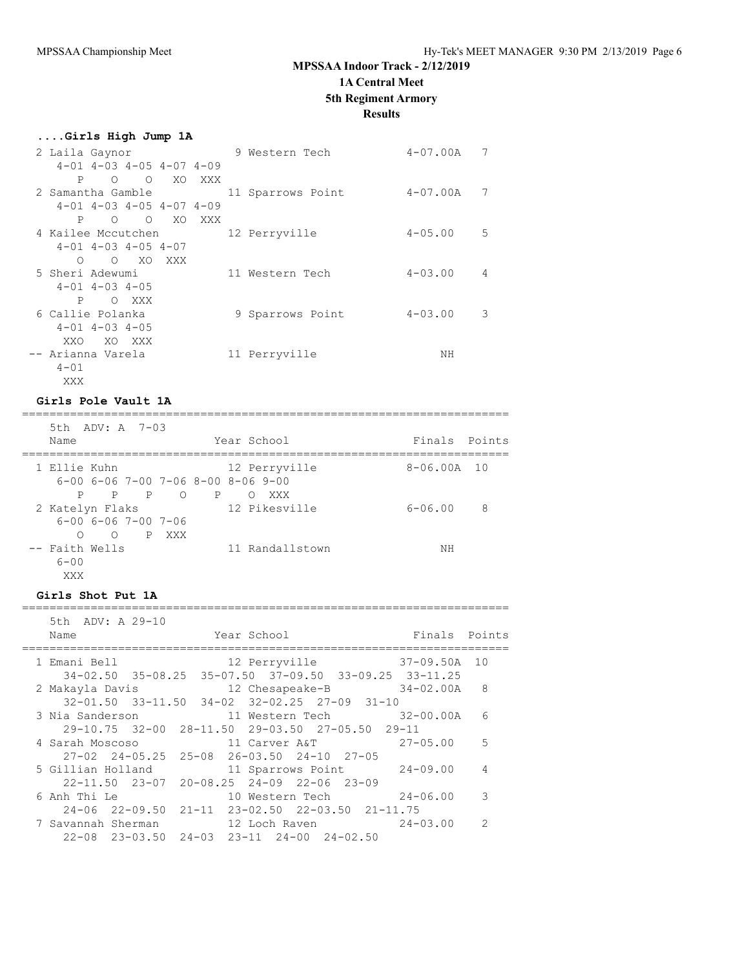**....Girls High Jump 1A**

## **MPSSAA Indoor Track - 2/12/2019**

### **1A Central Meet**

**5th Regiment Armory**

#### **Results**

| erris uidu owwp ix |                            |                             |                                    |     |                   |             |                |
|--------------------|----------------------------|-----------------------------|------------------------------------|-----|-------------------|-------------|----------------|
| 2 Laila Gaynor     |                            |                             |                                    |     | 9 Western Tech    | 4-07.00A    | 7              |
|                    |                            |                             | $4-01$ $4-03$ $4-05$ $4-07$ $4-09$ |     |                   |             |                |
| P                  | $\Omega$                   | $\circ$                     | XO                                 | XXX |                   |             |                |
| 2 Samantha Gamble  |                            |                             |                                    |     | 11 Sparrows Point | 4-07.00A    | 7              |
|                    |                            |                             | $4-01$ $4-03$ $4-05$ $4-07$ $4-09$ |     |                   |             |                |
|                    |                            | $\circ$ $\circ$             | XO                                 | XXX |                   |             |                |
| 4 Kailee Mccutchen |                            |                             |                                    |     | 12 Perryville     | $4 - 05.00$ | 5              |
|                    |                            | $4-01$ $4-03$ $4-05$ $4-07$ |                                    |     |                   |             |                |
| $\circ$            |                            | O XO XXX                    |                                    |     |                   |             |                |
| 5 Sheri Adewumi    |                            |                             |                                    |     | 11 Western Tech   | $4 - 03.00$ | $\overline{4}$ |
|                    | $4 - 01$ $4 - 03$ $4 - 05$ |                             |                                    |     |                   |             |                |
| P                  |                            | O XXX                       |                                    |     |                   |             |                |
| 6 Callie Polanka   |                            |                             |                                    |     | 9 Sparrows Point  | $4 - 03.00$ | 3              |
|                    | $4 - 01$ $4 - 03$ $4 - 05$ |                             |                                    |     |                   |             |                |
| XXO                |                            | XO XXX                      |                                    |     |                   |             |                |
| -- Arianna Varela  |                            |                             |                                    |     | 11 Perryville     | NΗ          |                |
| $4 - 01$           |                            |                             |                                    |     |                   |             |                |
| XXX                |                            |                             |                                    |     |                   |             |                |

#### **Girls Pole Vault 1A**

======================================================================= 5th ADV: A 7-03 Name The Year School Team Points Points ======================================================================= 1 Ellie Kuhn 12 Perryville 8-06.00A 10 6-00 6-06 7-00 7-06 8-00 8-06 9-00 P P P O P O XXX 12 Pikesville 6-06.00 8 6-00 6-06 7-00 7-06 O O P XXX -- Faith Wells **11 Randallstown** NH  $6 - 00$ XXX

### **Girls Shot Put 1A**

======================================================================= 5th ADV: A 29-10 Name **The Year School** Finals Points ======================================================================= 1 Emani Bell 12 Perryville 37-09.50A 10 34-02.50 35-08.25 35-07.50 37-09.50 33-09.25 33-11.25 2 Makayla Davis 12 Chesapeake-B 34-02.00A 8 32-01.50 33-11.50 34-02 32-02.25 27-09 31-10 3 Nia Sanderson 11 Western Tech 32-00.00A 6 29-10.75 32-00 28-11.50 29-03.50 27-05.50 29-11 4 Sarah Moscoso 11 Carver A&T 27-05.00 5 27-02 24-05.25 25-08 26-03.50 24-10 27-05 5 Gillian Holland 11 Sparrows Point 24-09.00 4 22-11.50 23-07 20-08.25 24-09 22-06 23-09 6 Anh Thi Le 10 Western Tech 24-06.00 3 24-06 22-09.50 21-11 23-02.50 22-03.50 21-11.75 7 Savannah Sherman 12 Loch Raven 24-03.00 2 22-08 23-03.50 24-03 23-11 24-00 24-02.50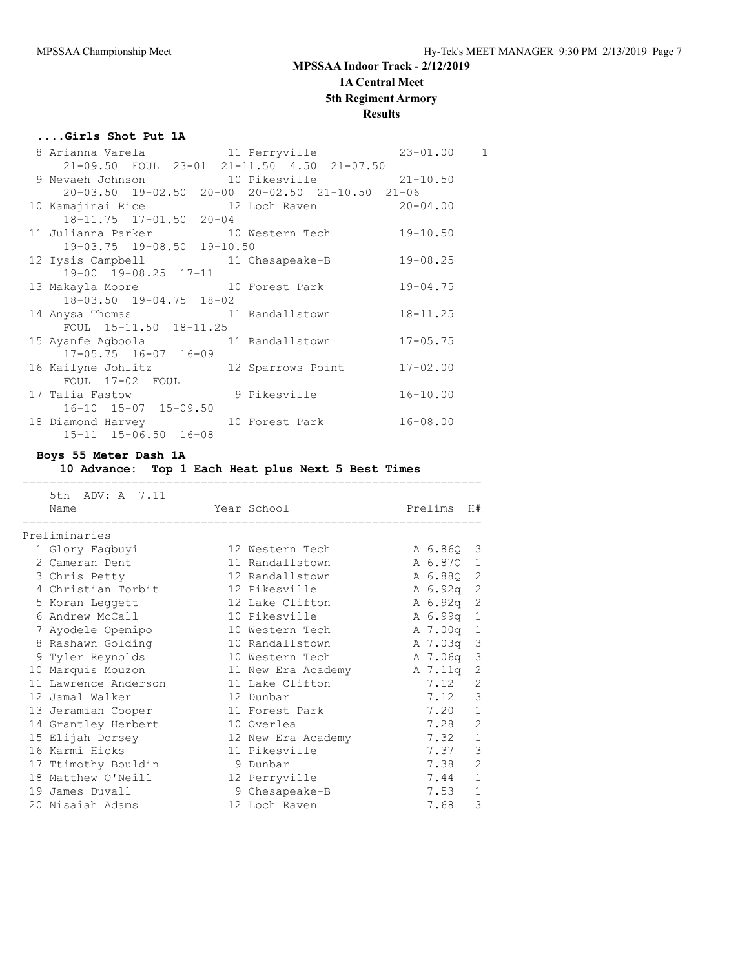### **....Girls Shot Put 1A**

| 8 Arianna Varela (11 Perryville (23-01.00) 1    |  |  |
|-------------------------------------------------|--|--|
| 21-09.50 FOUL 23-01 21-11.50 4.50 21-07.50      |  |  |
| 9 Nevaeh Johnson 10 Pikesville 21-10.50         |  |  |
| 20-03.50 19-02.50 20-00 20-02.50 21-10.50 21-06 |  |  |
| 10 Kamajinai Rice 12 Loch Raven 20-04.00        |  |  |
| 18-11.75 17-01.50 20-04                         |  |  |
| 11 Julianna Parker 10 Western Tech 19-10.50     |  |  |
| 19-03.75 19-08.50 19-10.50                      |  |  |
| 12 Iysis Campbell 11 Chesapeake-B 19-08.25      |  |  |
| 19-00 19-08.25 17-11                            |  |  |
| 13 Makayla Moore 10 Forest Park 19-04.75        |  |  |
| 18-03.50 19-04.75 18-02                         |  |  |
| 14 Anysa Thomas 11 Randallstown 18-11.25        |  |  |
| FOUL 15-11.50 18-11.25                          |  |  |
| 15 Ayanfe Agboola 11 Randallstown 17-05.75      |  |  |
| $17 - 05.75$ $16 - 07$ $16 - 09$                |  |  |
| 16 Kailyne Johlitz 12 Sparrows Point 17-02.00   |  |  |
| FOUL 17-02 FOUL                                 |  |  |
| 17 Talia Fastow 9 Pikesville 16-10.00           |  |  |
| 16-10 15-07 15-09.50                            |  |  |
| 18 Diamond Harvey 10 Forest Park 16-08.00       |  |  |
| 15-11 15-06.50 16-08                            |  |  |

#### **Boys 55 Meter Dash 1A**

#### **10 Advance: Top 1 Each Heat plus Next 5 Best Times**

===================================================================

 5th ADV: A 7.11 Name The Year School Prelims H# =================================================================== Preliminaries 1 Glory Fagbuyi 12 Western Tech A 6.86Q 3 2 Cameran Dent 11 Randallstown A 6.87Q 1 3 Chris Petty 12 Randallstown A 6.88Q 2 4 Christian Torbit 12 Pikesville A 6.92q 2 5 Koran Leggett 12 Lake Clifton A 6.92q 2 6 Andrew McCall 10 Pikesville A 6.99q 1 7 Ayodele Opemipo 10 Western Tech A 7.00q 1 8 Rashawn Golding 10 Randallstown A 7.03q 3 9 Tyler Reynolds 10 Western Tech A 7.06q 3 10 Marquis Mouzon 11 New Era Academy A 7.11q 2 11 Lawrence Anderson 11 Lake Clifton 7.12 2 12 Jamal Walker 12 Dunbar 7.12 3 13 Jeramiah Cooper 11 Forest Park 7.20 1 14 Grantley Herbert 10 Overlea 7.28 2 15 Elijah Dorsey 12 New Era Academy 7.32 1 16 Karmi Hicks 11 Pikesville 7.37 3 17 Ttimothy Bouldin 9 Dunbar 7.38 2 18 Matthew O'Neill 12 Perryville 7.44 1 19 James Duvall 9 Chesapeake-B 7.53 1 20 Nisaiah Adams 12 Loch Raven 7.68 3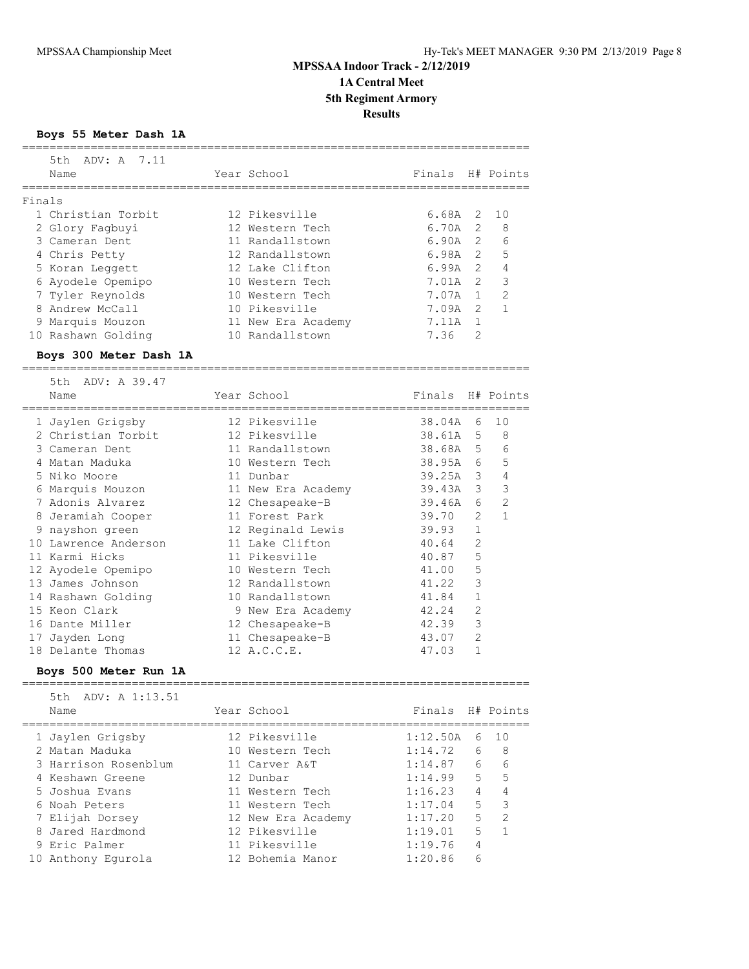**Boys 55 Meter Dash 1A**

|        | 5th ADV: A 7.11        |                    |                         |                |                |
|--------|------------------------|--------------------|-------------------------|----------------|----------------|
|        | Name                   | Year School        | Finals H# Points        |                |                |
|        |                        |                    |                         |                |                |
| Finals |                        |                    |                         |                |                |
|        | 1 Christian Torbit     | 12 Pikesville      | 6.68A                   | 2              | 10             |
|        | 2 Glory Fagbuyi        | 12 Western Tech    | 6.70A 2                 |                | 8              |
|        | 3 Cameran Dent         | 11 Randallstown    | 6.90A <sub>2</sub>      |                | 6              |
|        | 4 Chris Petty          | 12 Randallstown    | $6.98A$ 2               |                | 5              |
|        | 5 Koran Leggett        | 12 Lake Clifton    | 6.99A 2                 |                | $\overline{4}$ |
|        |                        | 10 Western Tech    | 7.01A 2                 |                | 3              |
|        | 6 Ayodele Opemipo      |                    |                         |                |                |
|        | 7 Tyler Reynolds       | 10 Western Tech    | 7.07A 1                 |                | 2              |
|        | 8 Andrew McCall        | 10 Pikesville      | 7.09A 2                 |                | $\mathbf{1}$   |
|        | 9 Marquis Mouzon       | 11 New Era Academy | 7.11A 1                 |                |                |
|        | 10 Rashawn Golding     | 10 Randallstown    | 7.36                    | 2              |                |
|        | Boys 300 Meter Dash 1A |                    |                         |                |                |
|        | 5th ADV: A 39.47       |                    |                         |                |                |
|        | Name                   | Year School        | Finals H# Points        |                |                |
|        |                        |                    | ;====================== |                |                |
|        | 1 Jaylen Grigsby       | 12 Pikesville      | 38.04A 6                |                | 10             |
|        | 2 Christian Torbit     | 12 Pikesville      | 38.61A 5                |                | 8              |
|        | 3 Cameran Dent         | 11 Randallstown    | 38.68A 5                |                | 6              |
|        | 4 Matan Maduka         | 10 Western Tech    | 38.95A 6                |                | 5              |
|        | 5 Niko Moore           | 11 Dunbar          | 39.25A 3                |                | $\overline{4}$ |
|        | 6 Marquis Mouzon       | 11 New Era Academy | 39.43A 3                |                | 3              |
|        | 7 Adonis Alvarez       | 12 Chesapeake-B    | 39.46A                  | 6              | 2              |
|        |                        | 11 Forest Park     | 39.70                   | $\overline{2}$ | $\mathbf{1}$   |
|        | 8 Jeramiah Cooper      |                    |                         | $\mathbf{1}$   |                |
|        | 9 nayshon green        | 12 Reginald Lewis  | 39.93                   |                |                |
|        | 10 Lawrence Anderson   | 11 Lake Clifton    | 40.64                   | $\mathbf{2}$   |                |
|        | 11 Karmi Hicks         | 11 Pikesville      | 40.87                   | 5              |                |
|        | 12 Ayodele Opemipo     | 10 Western Tech    | 41.00                   | 5              |                |
|        | 13 James Johnson       | 12 Randallstown    | 41.22                   | 3              |                |
|        | 14 Rashawn Golding     | 10 Randallstown    | 41.84                   | 1              |                |
|        | 15 Keon Clark          | 9 New Era Academy  | 42.24                   | $\mathbf{2}$   |                |
|        | 16 Dante Miller        | 12 Chesapeake-B    | 42.39                   | $\mathcal{E}$  |                |
|        | 17 Jayden Long         | 11 Chesapeake-B    | 43.07                   | 2              |                |
|        | 18 Delante Thomas      | 12 A.C.C.E.        | 47.03                   | 1              |                |
|        | Boys 500 Meter Run 1A  |                    |                         |                |                |
|        | ADV: A 1:13.51<br>5th  |                    |                         |                |                |
|        | Name                   | Year School        | Finals H# Points        |                |                |
|        |                        |                    |                         |                |                |
|        | 1 Jaylen Grigsby       | 12 Pikesville      | 1:12.50A                | 6              | 10             |
|        | 2 Matan Maduka         | 10 Western Tech    | 1:14.72                 | 6              | 8              |
|        | 3 Harrison Rosenblum   | 11 Carver A&T      | 1:14.87                 | 6              | 6              |
|        | 4 Keshawn Greene       | 12 Dunbar          | 1:14.99                 | 5              | 5              |
|        | 5 Joshua Evans         | 11 Western Tech    | 1:16.23                 | $\overline{4}$ | $\overline{4}$ |
|        | 6 Noah Peters          | 11 Western Tech    | 1:17.04                 | 5              | 3              |
|        | 7 Elijah Dorsey        | 12 New Era Academy | 1:17.20                 | 5              | 2              |
|        | 8 Jared Hardmond       | 12 Pikesville      | 1:19.01                 | 5              | $\mathbf{1}$   |
|        | 9 Eric Palmer          | 11 Pikesville      | 1:19.76                 | 4              |                |
|        | 10 Anthony Egurola     | 12 Bohemia Manor   | 1:20.86                 | 6              |                |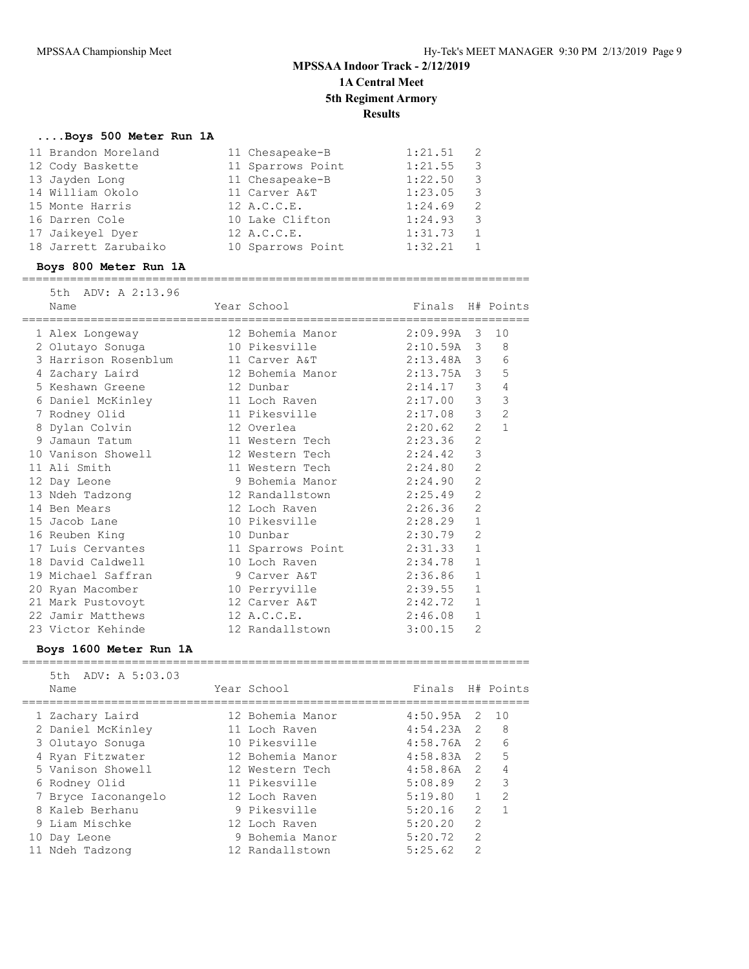### **....Boys 500 Meter Run 1A**

| 11 Brandon Moreland  | 11 Chesapeake-B   | 1:21.51 |   |  |
|----------------------|-------------------|---------|---|--|
| 12 Cody Baskette     | 11 Sparrows Point | 1:21.55 | 3 |  |
| 13 Jayden Long       | 11 Chesapeake-B   | 1:22.50 | 3 |  |
| 14 William Okolo     | 11 Carver A&T     | 1:23.05 | 3 |  |
| 15 Monte Harris      | 12 A.C.C.E.       | 1:24.69 | 2 |  |
| 16 Darren Cole       | 10 Lake Clifton   | 1:24.93 | 3 |  |
| 17 Jaikeyel Dyer     | 12 A.C.C.E.       | 1:31.73 |   |  |
| 18 Jarrett Zarubaiko | 10 Sparrows Point | 1:32.21 |   |  |

#### **Boys 800 Meter Run 1A** ==========================================================================

| 5th ADV: A 2:13.96 |                  |               |                  |
|--------------------|------------------|---------------|------------------|
| Name               | Year School      |               | Finals H# Points |
|                    |                  |               |                  |
| 1 Alex Longeway    | 12 Bohemia Manor | 2.09.994.3.10 |                  |

|                                                                           |                           |         |                | 10             |
|---------------------------------------------------------------------------|---------------------------|---------|----------------|----------------|
| 2 Olutayo Sonuga                                                          | 10 Pikesville 2:10.59A 3  |         |                | 8              |
| 3 Harrison Rosenblum                                                      | 11 Carver A&T 2:13.48A 3  |         |                | 6              |
| 4 Zachary Laird                 12 Bohemia Manor             2:13.75A   3 |                           |         |                | 5              |
| 5 Keshawn Greene 12 Dunbar                                                |                           | 2:14.17 | $\mathcal{S}$  | $\overline{4}$ |
| 6 Daniel McKinley                                                         | 11 Loch Raven 2:17.00 3   |         |                | 3              |
| 7 Rodney Olid                                                             | 11 Pikesville 2:17.08 3   |         |                | $\overline{2}$ |
| 8 Dylan Colvin                                                            |                           |         | 2              | $\mathbf{1}$   |
| 9 Jamaun Tatum                                                            | 11 Western Tech 2:23.36   |         | $\overline{c}$ |                |
| 10 Vanison Showell                                                        | 12 Western Tech 2:24.42   |         | $\mathcal{S}$  |                |
| 11 Ali Smith                                                              | 11 Western Tech 2:24.80   |         | $\overline{2}$ |                |
| 12 Day Leone                                                              | 9 Bohemia Manor 2:24.90   |         | $\overline{2}$ |                |
| 13 Ndeh Tadzong                                                           | 12 Randallstown 2:25.49   |         | $\overline{2}$ |                |
| 14 Ben Mears                                                              | 12 Loch Raven 2:26.36     |         | $\overline{2}$ |                |
| 15 Jacob Lane                                                             | 10 Pikesville 2:28.29 1   |         |                |                |
| 16 Reuben King                                                            | 10 Dunbar 2:30.79         |         | $\overline{2}$ |                |
| 17 Luis Cervantes                                                         | 11 Sparrows Point 2:31.33 |         | $\mathbf{1}$   |                |
| 18 David Caldwell                                                         | 10 Loch Raven 2:34.78     |         | $\mathbf{1}$   |                |
| 19 Michael Saffran (2:36.86) 9 Carver A&T 2:36.86                         |                           |         | $\mathbf{1}$   |                |
| 20 Ryan Macomber                                                          | 10 Perryville 2:39.55     |         | $\mathbf{1}$   |                |
| 21 Mark Pustovoyt                                                         | 12 Carver A&T 2:42.72     |         | $\mathbf{1}$   |                |
| 22 Jamir Matthews                                                         | 12 A.C.C.E. 2:46.08       |         | $\mathbf{1}$   |                |
| 23 Victor Kehinde                                                         | 12 Randallstown 3:00.15   |         | $\overline{2}$ |                |

### **Boys 1600 Meter Run 1A**

|  | 5th ADV: A 5:03.03<br>Name | Year School      | Finals H# Points |               |               |
|--|----------------------------|------------------|------------------|---------------|---------------|
|  | 1 Zachary Laird            | 12 Bohemia Manor | $4:50.95A$ 2     |               | 10            |
|  | 2 Daniel McKinley          | 11 Loch Raven    | $4:54.23A$ 2     |               | - 8           |
|  | 3 Olutayo Sonuga           | 10 Pikesville    | $4:58.76A$ 2     |               | 6             |
|  | 4 Ryan Fitzwater           | 12 Bohemia Manor | $4:58.83A$ 2     |               | $-5$          |
|  | 5 Vanison Showell          | 12 Western Tech  | $4:58.86A$ 2     |               | 4             |
|  | 6 Rodney Olid              | 11 Pikesville    | 5:08.89          | $\mathcal{P}$ | 3             |
|  | 7 Bryce Iaconangelo        | 12 Loch Raven    | 5:19.80          |               | $\mathcal{L}$ |
|  | 8 Kaleb Berhanu            | 9 Pikesville     | 5:20.16          | $\mathcal{L}$ |               |
|  | 9 Liam Mischke             | 12 Loch Raven    | 5:20.20          | $\mathcal{P}$ |               |
|  | 10 Day Leone               | 9 Bohemia Manor  | 5:20.72          | $\mathcal{L}$ |               |
|  | 11 Ndeh Tadzong            | 12 Randallstown  | 5:25.62          | $\mathcal{P}$ |               |
|  |                            |                  |                  |               |               |

==========================================================================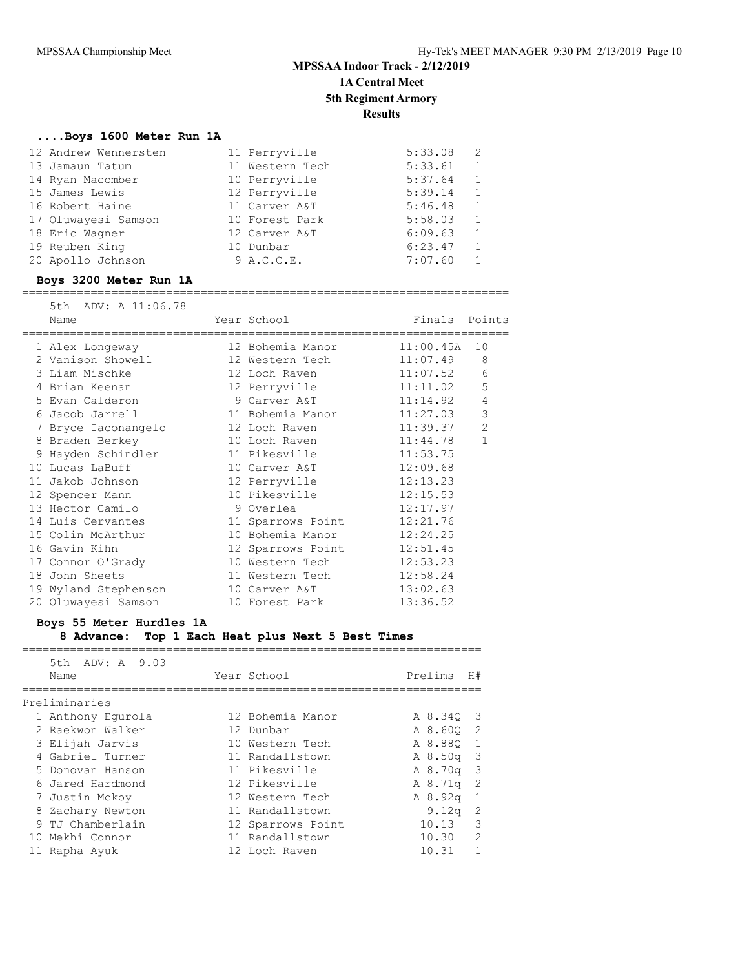### **....Boys 1600 Meter Run 1A**

| 12 Andrew Wennersten | 11 Perryville   | 5:33.08 | $\overline{2}$ |
|----------------------|-----------------|---------|----------------|
| 13 Jamaun Tatum      | 11 Western Tech | 5:33.61 | 1              |
| 14 Ryan Macomber     | 10 Perryville   | 5:37.64 | $\mathbf{1}$   |
| 15 James Lewis       | 12 Perryville   | 5:39.14 | 1              |
| 16 Robert Haine      | 11 Carver A&T   | 5:46.48 | 1              |
| 17 Oluwayesi Samson  | 10 Forest Park  | 5:58.03 | 1              |
| 18 Eric Wagner       | 12 Carver A&T   | 6:09.63 | 1              |
| 19 Reuben King       | 10 Dunbar       | 6:23.47 | $\mathbf{1}$   |
| 20 Apollo Johnson    | 9 A.C.C.E.      | 7:07.60 |                |

#### **Boys 3200 Meter Run 1A**

#### =======================================================================

| 5th ADV: A 11:06.78<br>Name | Year School                              | Finals Points |                |
|-----------------------------|------------------------------------------|---------------|----------------|
| 1 Alex Longeway             | --------------------<br>12 Bohemia Manor | 11:00.45A     | 10             |
| 2 Vanison Showell           | 12 Western Tech                          | 11:07.49      | 8              |
| 3 Liam Mischke              | 12 Loch Raven                            | 11:07.52      | 6              |
| 4 Brian Keenan              | 12 Perryville                            | 11:11.02      | 5              |
| 5 Evan Calderon             | 9 Carver A&T                             | 11:14.92      | $\overline{4}$ |
| 6 Jacob Jarrell             | 11 Bohemia Manor                         | 11:27.03      | $\mathcal{S}$  |
| 7 Bryce Iaconangelo         | 12 Loch Raven                            | 11:39.37      | $\overline{c}$ |
| 8 Braden Berkey             | 10 Loch Raven                            | 11:44.78      | $\mathbf{1}$   |
| 9 Hayden Schindler          | 11 Pikesville                            | 11:53.75      |                |
| 10 Lucas LaBuff             | 10 Carver A&T                            | 12:09.68      |                |
| 11 Jakob Johnson            | 12 Perryville                            | 12:13.23      |                |
| 12 Spencer Mann             | 10 Pikesville                            | 12:15.53      |                |
| 13 Hector Camilo            | 9 Overlea                                | 12:17.97      |                |
| 14 Luis Cervantes           | 11 Sparrows Point                        | 12:21.76      |                |
| 15 Colin McArthur           | 10 Bohemia Manor                         | 12:24.25      |                |
| 16 Gavin Kihn               | 12 Sparrows Point                        | 12:51.45      |                |
| 17 Connor O'Grady           | 10 Western Tech                          | 12:53.23      |                |
| 18 John Sheets              | 11 Western Tech                          | 12:58.24      |                |
| 19 Wyland Stephenson        | 10 Carver A&T                            | 13:02.63      |                |
| 20 Oluwayesi Samson         | 10 Forest Park                           | 13:36.52      |                |

#### **Boys 55 Meter Hurdles 1A**

### **8 Advance: Top 1 Each Heat plus Next 5 Best Times**

===================================================================

| ADV: A 9.03<br>5th<br>Name | Year School       | Prelims           | H#                      |
|----------------------------|-------------------|-------------------|-------------------------|
| Preliminaries              |                   |                   |                         |
| 1 Anthony Equrola          | 12 Bohemia Manor  | A 8.340           | - 3                     |
| 2 Raekwon Walker           | 12 Dunbar         | A 8.600           | -2                      |
| 3 Elijah Jarvis            | 10 Western Tech   | A 8.880           | 1                       |
| 4 Gabriel Turner           | 11 Randallstown   | A8.50q            | $\overline{\mathbf{3}}$ |
| 5 Donovan Hanson           | 11 Pikesville     | A 8.70g           | $\overline{\mathbf{3}}$ |
| 6 Jared Hardmond           | 12 Pikesville     | $A_8.71q$         | -2                      |
| 7 Justin Mckov             | 12 Western Tech   | A8.92q            | 1                       |
| 8 Zachary Newton           | 11 Randallstown   | 9.12 <sub>q</sub> | -2                      |
| 9 TJ Chamberlain           | 12 Sparrows Point | 10.13             | 3                       |
| 10 Mekhi Connor            | 11 Randallstown   | 10.30             | $\mathcal{L}$           |
| 11 Rapha Ayuk              | 12 Loch Raven     | 10.31             | 1                       |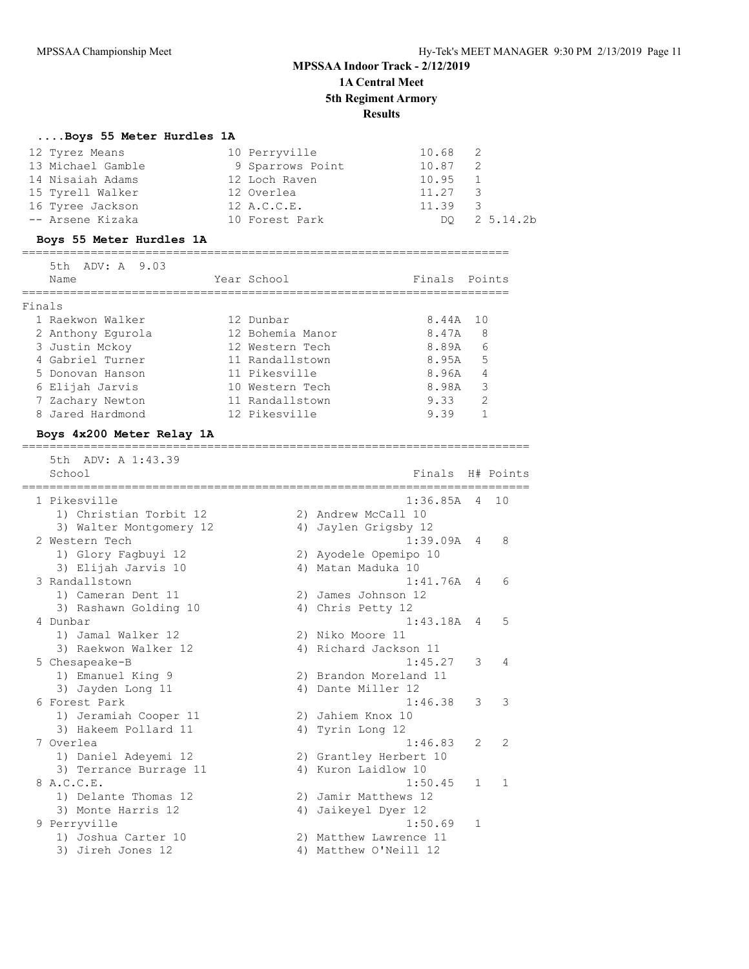#### **....Boys 55 Meter Hurdles 1A**

| 12 Tyrez Means    | 10 Perryville    | $10.68$ 2               |              |
|-------------------|------------------|-------------------------|--------------|
| 13 Michael Gamble | 9 Sparrows Point | 10.87<br>$\overline{2}$ |              |
| 14 Nisaiah Adams  | 12 Loch Raven    | 10.95 1                 |              |
| 15 Tyrell Walker  | 12 Overlea       | $11.27$ 3               |              |
| 16 Tyree Jackson  | 12 A.C.C.E.      | $11.39$ 3               |              |
| -- Arsene Kizaka  | 10 Forest Park   |                         | DO 2 5.14.2b |

#### **Boys 55 Meter Hurdles 1A**

#### =======================================================================  $5 + b$   $2$   $D17.$   $2$   $9.93$

|        | $JLI$ $A DY$ , $A = J$ , $UJ$ |                  |               |    |
|--------|-------------------------------|------------------|---------------|----|
|        | Name                          | Year School      | Finals Points |    |
|        |                               |                  |               |    |
| Finals |                               |                  |               |    |
|        | 1 Raekwon Walker              | 12 Dunbar        | 8.44A         | 10 |
|        | 2 Anthony Equrola             | 12 Bohemia Manor | 8.47A         | 8  |
|        | 3 Justin Mckoy                | 12 Western Tech  | 8.89A         | 6  |
|        | 4 Gabriel Turner              | 11 Randallstown  | 8.95A         | 5  |
|        | 5 Donovan Hanson              | 11 Pikesville    | 8.96A         | 4  |
|        | 6 Elijah Jarvis               | 10 Western Tech  | 8.98A         | 3  |
|        | 7 Zachary Newton              | 11 Randallstown  | 9.33          | 2  |
|        | 8 Jared Hardmond              | 12 Pikesville    | 9.39          |    |

#### **Boys 4x200 Meter Relay 1A**

========================================================================== 5th ADV: A 1:43.39 School **Finals** H# Points ========================================================================== 1 Pikesville 1:36.85A 4 10 1) Christian Torbit 12 2) Andrew McCall 10 3) Walter Montgomery 12 <a>> 4) Jaylen Grigsby 12 2 Western Tech 1:39.09A 4 8 1) Glory Fagbuyi 12 2) Ayodele Opemipo 10 3) Elijah Jarvis 10  $\hskip1cm$  4) Matan Maduka 10 3 Randallstown 1:41.76A 4 6 1) Cameran Dent 11 2) James Johnson 12 3) Rashawn Golding 10 4) Chris Petty 12 4 Dunbar 1:43.18A 4 5 1) Jamal Walker 12 2) Niko Moore 11 3) Raekwon Walker 12 4) Richard Jackson 11 5 Chesapeake-B 1:45.27 3 4 1) Emanuel King 9 2) Brandon Moreland 11 3) Jayden Long 11 4) Dante Miller 12 6 Forest Park 1:46.38 3 3 1) Jeramiah Cooper 11 2) Jahiem Knox 10 3) Hakeem Pollard 11 4) Tyrin Long 12 7 Overlea 1:46.83 2 2 1) Daniel Adeyemi 12 2) Grantley Herbert 10 3) Terrance Burrage 11 (4) Kuron Laidlow 10 8 A.C.C.E. 1:50.45 1 1 1) Delante Thomas 12 2) Jamir Matthews 12 3) Monte Harris 12 4) Jaikeyel Dyer 12 9 Perryville 1:50.69 1 1) Joshua Carter 10 2) Matthew Lawrence 11 3) Jireh Jones 12 4) Matthew O'Neill 12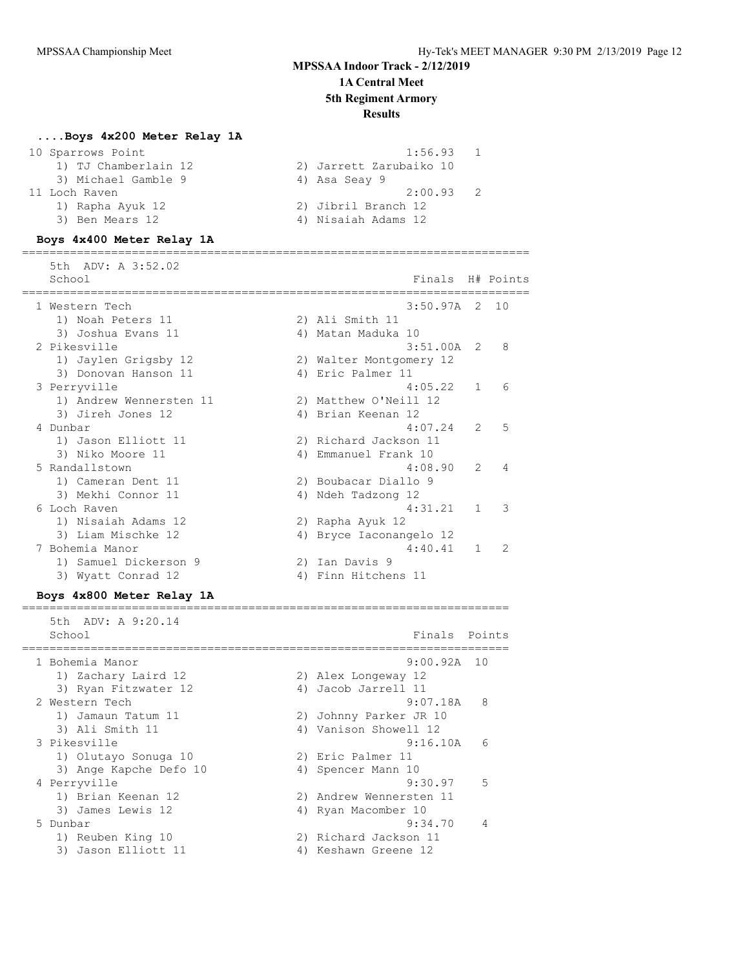# **MPSSAA Indoor Track - 2/12/2019**

## **1A Central Meet**

**5th Regiment Armory**

### **Results**

### **....Boys 4x200 Meter Relay 1A**

#### **Boys 4x400 Meter Relay 1A**

==========================================================================

| 5th ADV: A 3:52.02<br>School |    | Finals H# Points        |               |               |
|------------------------------|----|-------------------------|---------------|---------------|
| 1 Western Tech               |    | $3:50.97A$ 2 10         |               |               |
| 1) Noah Peters 11            |    | 2) Ali Smith 11         |               |               |
| 3) Joshua Evans 11           |    | 4) Matan Maduka 10      |               |               |
| 2 Pikesville                 |    | $3:51.00A$ 2            |               | 8             |
| 1) Jaylen Grigsby 12         |    | 2) Walter Montgomery 12 |               |               |
| 3) Donovan Hanson 11         |    | 4) Eric Palmer 11       |               |               |
| 3 Perryville                 |    | 4:05.22                 | $\mathbf{1}$  | 6             |
| 1) Andrew Wennersten 11      |    | 2) Matthew O'Neill 12   |               |               |
| 3) Jireh Jones 12            |    | 4) Brian Keenan 12      |               |               |
| 4 Dunbar                     |    | 4:07.24                 | $\mathcal{L}$ | 5             |
| 1) Jason Elliott 11          |    | 2) Richard Jackson 11   |               |               |
| 3) Niko Moore 11             |    | 4) Emmanuel Frank 10    |               |               |
| 5 Randallstown               |    | 4:08.90                 | $\mathcal{L}$ | 4             |
| 1) Cameran Dent 11           |    | 2) Boubacar Diallo 9    |               |               |
| 3) Mekhi Connor 11           |    | 4) Ndeh Tadzong 12      |               |               |
| 6 Loch Raven                 |    | 4:31.21                 | 1             | 3             |
| 1) Nisaiah Adams 12          |    | 2) Rapha Ayuk 12        |               |               |
| 3) Liam Mischke 12           |    | 4) Bryce Iaconangelo 12 |               |               |
| 7 Bohemia Manor              |    | 4:40.41                 |               | $\mathcal{L}$ |
| 1) Samuel Dickerson 9        | 2) | Ian Davis 9             |               |               |
| 3) Wyatt Conrad 12           |    | 4) Finn Hitchens 11     |               |               |

### **Boys 4x800 Meter Relay 1A**

======================================================================= 5th ADV: A 9:20.14 School **Finals** Points ======================================================================= 1 Bohemia Manor 9:00.92A 10 1) Zachary Laird 12 2) Alex Longeway 12 3) Ryan Fitzwater 12 (4) Jacob Jarrell 11 2 Western Tech 9:07.18A 8 1) Jamaun Tatum 11 2) Johnny Parker JR 10 3) Ali Smith 11 4) Vanison Showell 12 3 Pikesville 9:16.10A 6 1) Olutayo Sonuga 10 2) Eric Palmer 11 3) Ange Kapche Defo 10  $\hskip 1.5cm 4$ ) Spencer Mann 10 4 Perryville 9:30.97 5 1) Brian Keenan 12 2) Andrew Wennersten 11 3) James Lewis 12 4) Ryan Macomber 10 5 Dunbar 9:34.70 4 1) Reuben King 10 2) Richard Jackson 11 3) Jason Elliott 11 (4) Keshawn Greene 12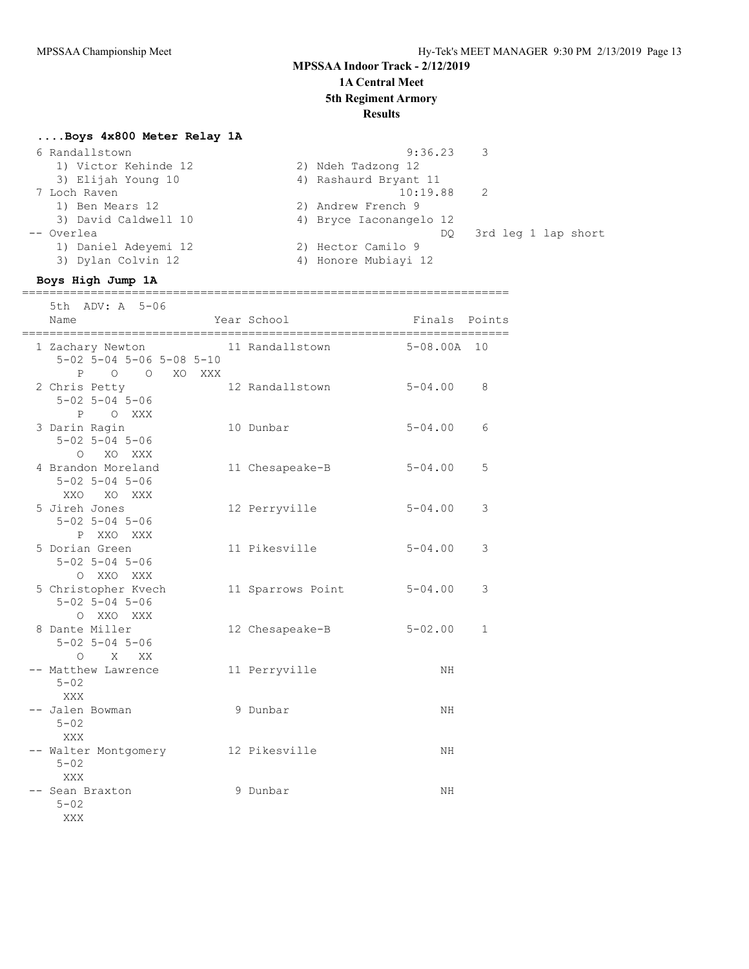### **MPSSAA Indoor Track - 2/12/2019 1A Central Meet**

# **5th Regiment Armory**

## **Results**

### **....Boys 4x800 Meter Relay 1A**

| 6 Randallstown       | $9:36.23$ 3               |  |
|----------------------|---------------------------|--|
| 1) Victor Kehinde 12 | 2) Ndeh Tadzong 12        |  |
| 3) Elijah Young 10   | 4) Rashaurd Bryant 11     |  |
| 7 Loch Raven         | 10:19.88 2                |  |
| 1) Ben Mears 12      | 2) Andrew French 9        |  |
| 3) David Caldwell 10 | 4) Bryce Iaconangelo 12   |  |
| -- Overlea           | 3rd leg 1 lap short<br>DO |  |
| 1) Daniel Adeyemi 12 | 2) Hector Camilo 9        |  |
| 3) Dylan Colvin 12   | 4) Honore Mubiayi 12      |  |
|                      |                           |  |

#### **Boys High Jump 1A** =======================================================================

 5th ADV: A 5-06 Name The Year School Control of Finals Points ======================================================================= 1 Zachary Newton 11 Randallstown 5-08.00A 10 5-02 5-04 5-06 5-08 5-10 P O O XO XXX 2 Chris Petty 12 Randallstown 5-04.00 8 5-02 5-04 5-06 P O XXX 3 Darin Ragin 10 Dunbar 5-04.00 6 5-02 5-04 5-06 O XO XXX 4 Brandon Moreland 11 Chesapeake-B 5-04.00 5 5-02 5-04 5-06 XXO XO XXX 5 Jireh Jones 12 Perryville 5-04.00 3 5-02 5-04 5-06 P XXO XXX 5 Dorian Green 11 Pikesville 5-04.00 3 5-02 5-04 5-06 O XXO XXX 5 Christopher Kvech 11 Sparrows Point 5-04.00 3 5-02 5-04 5-06 O XXO XXX 8 Dante Miller 12 Chesapeake-B 5-02.00 1 5-02 5-04 5-06 O X XX -- Matthew Lawrence 11 Perryville NH  $5 - 02$  XXX -- Jalen Bowman 9 Dunbar 9 MH  $5 - 02$  XXX -- Walter Montgomery 12 Pikesville NH  $5 - 02$  XXX -- Sean Braxton 9 Dunbar 9 MH  $5 - 02$ XXX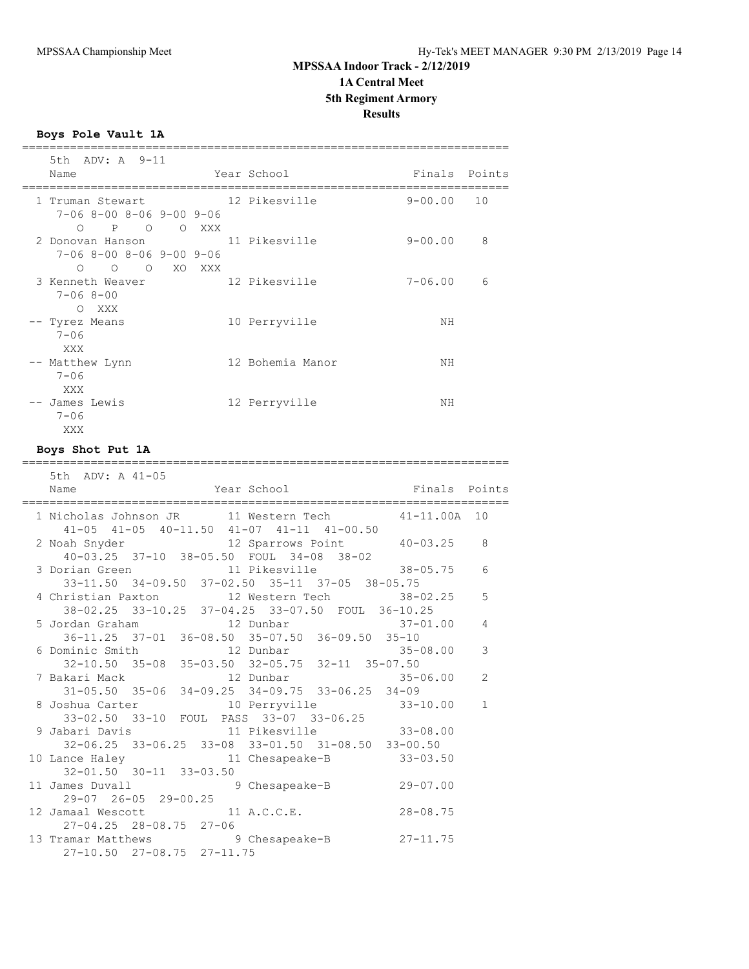**Boys Pole Vault 1A**

| 5th ADV: A 9-11<br>Name                                                                                |       | Year School      | Finals Points |    |
|--------------------------------------------------------------------------------------------------------|-------|------------------|---------------|----|
| 1 Truman Stewart 12 Pikesville<br>$7 - 068 - 008 - 069 - 009 - 06$<br>$P$ 0<br>$\bigcirc$              | O XXX |                  | $9 - 00.00$   | 10 |
| 2 Donovan Hanson 11 Pikesville<br>$7-06$ 8-00 8-06 9-00 9-06<br>O XO XXX<br>$\overline{O}$<br>$\Omega$ |       |                  | $9 - 00.00$   | 8  |
| 3 Kenneth Weaver<br>$7 - 068 - 00$<br>XXX<br>$\bigcirc$                                                |       | 12 Pikesville    | $7 - 06.00$   | 6  |
| -- Tyrez Means<br>$7 - 06$<br>XXX                                                                      |       | 10 Perryville    | ΝH            |    |
| -- Matthew Lynn<br>$7 - 06$<br>XXX                                                                     |       | 12 Bohemia Manor | ΝH            |    |
| -- James Lewis<br>$7 - 06$<br>XXX                                                                      |       | 12 Perryville    | NΗ            |    |

### **Boys Shot Put 1A**

#### =======================================================================

| 5th ADV: A 41-05                                                                                                                       |              |                |
|----------------------------------------------------------------------------------------------------------------------------------------|--------------|----------------|
|                                                                                                                                        |              |                |
| 1 Nicholas Johnson JR 11 Western Tech 41-11.00A 10<br>$41-05$ $41-05$ $40-11.50$ $41-07$ $41-11$ $41-00.50$                            |              |                |
| 2 Noah Snyder 12 Sparrows Point 40-03.25 8<br>40-03.25 37-10 38-05.50 FOUL 34-08 38-02                                                 |              |                |
| 3 Dorian Green 11 Pikesville 38-05.75 6<br>33-11.50 34-09.50 37-02.50 35-11 37-05 38-05.75                                             |              |                |
| 4 Christian Paxton 12 Western Tech 38-02.25 5                                                                                          |              |                |
| 38-02.25 33-10.25 37-04.25 33-07.50 FOUL 36-10.25                                                                                      |              |                |
|                                                                                                                                        |              |                |
|                                                                                                                                        |              |                |
| 6 Dominic Smith 12 Dunbar 35-08.00 3                                                                                                   |              |                |
| 32-10.50 35-08 35-03.50 32-05.75 32-11 35-07.50<br>7 Bakari Mack<br>31-05.50 35-06 34-09.25 34-09.75 33-06.25 34-09<br>8 Joshua Carter |              |                |
|                                                                                                                                        |              |                |
|                                                                                                                                        |              |                |
| 8 Joshua Carter 10 Perryville 33-10.00                                                                                                 |              | $\overline{1}$ |
| 33-02.50 33-10 FOUL PASS 33-07 33-06.25<br>9 Jabari Davis 11 Pikesville 33-08.00                                                       |              |                |
|                                                                                                                                        |              |                |
| 32-06.25 33-06.25 33-08 33-01.50 31-08.50 33-00.50                                                                                     |              |                |
| 10 Lance Haley 11 Chesapeake-B 33-03.50<br>32-01.50 30-11 33-03.50                                                                     |              |                |
|                                                                                                                                        |              |                |
| 11 James Duvall 9 Chesapeake-B 29-07.00                                                                                                |              |                |
| 29-07 26-05 29-00.25                                                                                                                   |              |                |
| 12 Jamaal Wescott 11 A.C.C.E.                                                                                                          | $28 - 08.75$ |                |
| $27 - 04.25$ $28 - 08.75$ $27 - 06$                                                                                                    |              |                |
| 13 Tramar Matthews 9 Chesapeake-B 27-11.75                                                                                             |              |                |
| 27-10.50 27-08.75 27-11.75                                                                                                             |              |                |